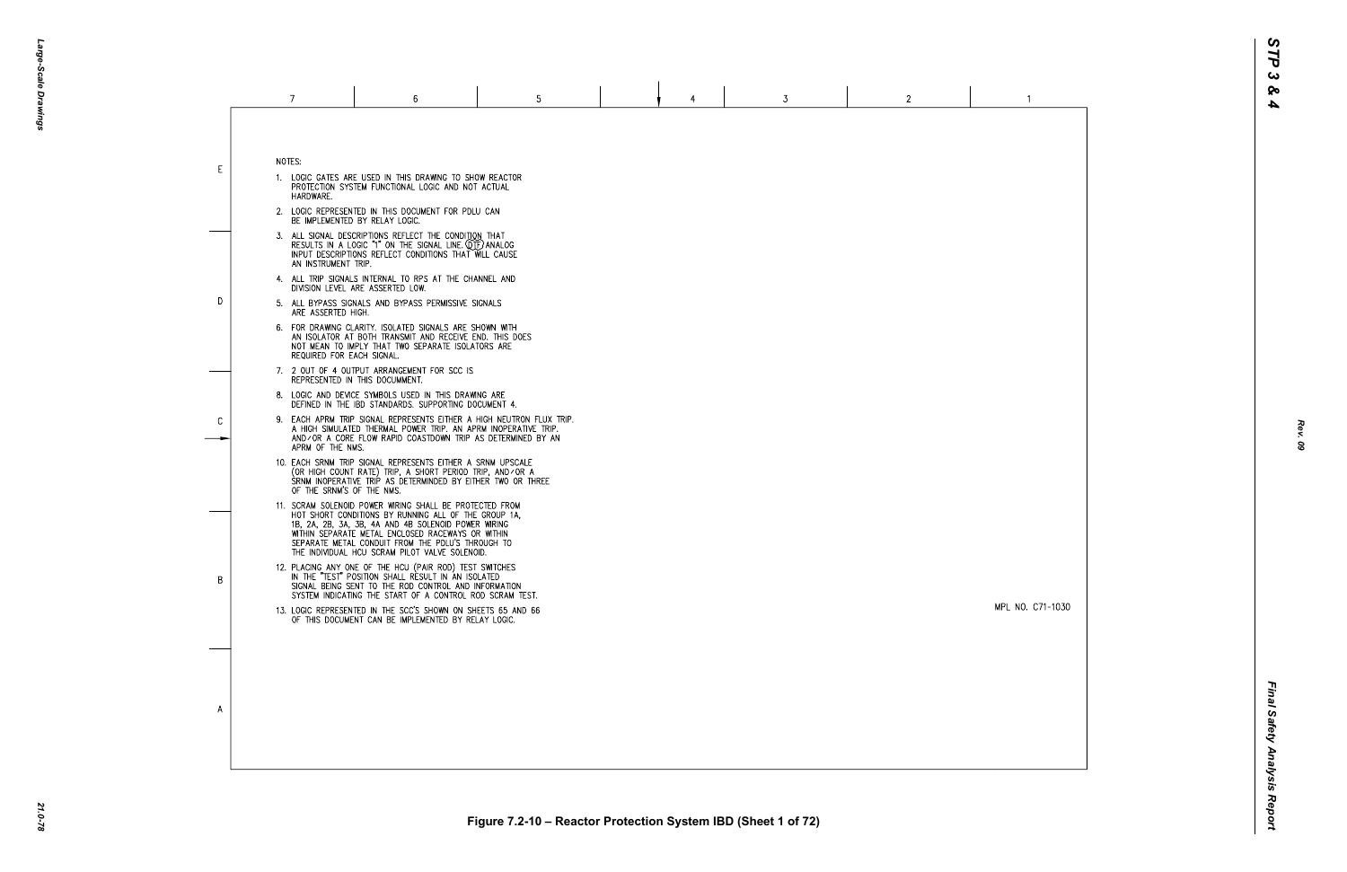MPL NO. C71-1030

 $\overline{1}$ 

|    | 7                                                                                                                                                                                                    | 6                                                                                                                                                                                                                                                                                                                                  | 5 |  | 4 | 3 | $\mathbf{2}$ |  |  |  |
|----|------------------------------------------------------------------------------------------------------------------------------------------------------------------------------------------------------|------------------------------------------------------------------------------------------------------------------------------------------------------------------------------------------------------------------------------------------------------------------------------------------------------------------------------------|---|--|---|---|--------------|--|--|--|
| E. | NOTES:<br>HARDWARE.                                                                                                                                                                                  | 1. LOGIC GATES ARE USED IN THIS DRAWING TO SHOW REACTOR<br>PROTECTION SYSTEM FUNCTIONAL LOGIC AND NOT ACTUAL                                                                                                                                                                                                                       |   |  |   |   |              |  |  |  |
|    | 2. LOGIC REPRESENTED IN THIS DOCUMENT FOR PDLU CAN<br>BE IMPLEMENTED BY RELAY LOGIC.                                                                                                                 |                                                                                                                                                                                                                                                                                                                                    |   |  |   |   |              |  |  |  |
|    | AN INSTRUMENT TRIP.                                                                                                                                                                                  | 3. ALL SIGNAL DESCRIPTIONS REFLECT THE CONDITION THAT<br>RESULTS IN A LOGIC "1" ON THE SIGNAL LINE. QTF) ANALOG<br>INPUT DESCRIPTIONS REFLECT CONDITIONS THAT WILL CAUSE                                                                                                                                                           |   |  |   |   |              |  |  |  |
|    | 4. ALL TRIP SIGNALS INTERNAL TO RPS AT THE CHANNEL AND<br>DIVISION LEVEL ARE ASSERTED LOW.                                                                                                           |                                                                                                                                                                                                                                                                                                                                    |   |  |   |   |              |  |  |  |
| D. | ARE ASSERTED HIGH.                                                                                                                                                                                   | 5. ALL BYPASS SIGNALS AND BYPASS PERMISSIVE SIGNALS                                                                                                                                                                                                                                                                                |   |  |   |   |              |  |  |  |
|    | 6. FOR DRAWING CLARITY. ISOLATED SIGNALS ARE SHOWN WITH<br>AN ISOLATOR AT BOTH TRANSMIT AND RECEIVE END. THIS DOES<br>NOT MEAN TO IMPLY THAT TWO SEPARATE ISOLATORS ARE<br>REQUIRED FOR EACH SIGNAL. |                                                                                                                                                                                                                                                                                                                                    |   |  |   |   |              |  |  |  |
| C  |                                                                                                                                                                                                      | 7. 2 OUT OF 4 OUTPUT ARRANGEMENT FOR SCC IS<br>REPRESENTED IN THIS DOCUMMENT.                                                                                                                                                                                                                                                      |   |  |   |   |              |  |  |  |
|    |                                                                                                                                                                                                      | 8. LOGIC AND DEVICE SYMBOLS USED IN THIS DRAWING ARE<br>DEFINED IN THE IBD STANDARDS. SUPPORTING DOCUMENT 4.                                                                                                                                                                                                                       |   |  |   |   |              |  |  |  |
|    | APRM OF THE NMS.                                                                                                                                                                                     | 9. EACH APRM TRIP SIGNAL REPRESENTS EITHER A HIGH NEUTRON FLUX TRIP.<br>A HIGH SIMULATED THERMAL POWER TRIP. AN APRM INOPERATIVE TRIP.<br>AND/OR A CORE FLOW RAPID COASTDOWN TRIP AS DETERMINED BY AN                                                                                                                              |   |  |   |   |              |  |  |  |
|    | OF THE SRNM'S OF THE NMS.                                                                                                                                                                            | 10. EACH SRNM TRIP SIGNAL REPRESENTS EITHER A SRNM UPSCALE<br>(OR HIGH COUNT RATE) TRIP, A SHORT PERIOD TRIP, AND/OR A<br>SRNM INOPERATIVE TRIP AS DETERMINDED BY EITHER TWO OR THREE                                                                                                                                              |   |  |   |   |              |  |  |  |
|    |                                                                                                                                                                                                      | 11. SCRAM SOLENOID POWER WIRING SHALL BE PROTECTED FROM<br>HOT SHORT CONDITIONS BY RUNNING ALL OF THE GROUP 1A.<br>1B, 2A, 2B, 3A, 3B, 4A AND 4B SOLENOID POWER WIRING<br>WITHIN SEPARATE METAL ENCLOSED RACEWAYS OR WITHIN<br>SEPARATE METAL CONDUIT FROM THE PDLU'S THROUGH TO<br>THE INDIVIDUAL HCU SCRAM PILOT VALVE SOLENOID. |   |  |   |   |              |  |  |  |
| B  |                                                                                                                                                                                                      | 12. PLACING ANY ONE OF THE HCU (PAIR ROD) TEST SWITCHES<br>IN THE "TEST" POSITION SHALL RESULT IN AN ISOLATED<br>SIGNAL BEING SENT TO THE ROD CONTROL AND INFORMATION<br>SYSTEM INDICATING THE START OF A CONTROL ROD SCRAM TEST.                                                                                                  |   |  |   |   |              |  |  |  |
|    |                                                                                                                                                                                                      | 13. LOGIC REPRESENTED IN THE SCC'S SHOWN ON SHEETS 65 AND 66<br>OF THIS DOCUMENT CAN BE IMPLEMENTED BY RELAY LOGIC.                                                                                                                                                                                                                |   |  |   |   |              |  |  |  |
|    |                                                                                                                                                                                                      |                                                                                                                                                                                                                                                                                                                                    |   |  |   |   |              |  |  |  |
|    |                                                                                                                                                                                                      |                                                                                                                                                                                                                                                                                                                                    |   |  |   |   |              |  |  |  |
| A  |                                                                                                                                                                                                      |                                                                                                                                                                                                                                                                                                                                    |   |  |   |   |              |  |  |  |
|    |                                                                                                                                                                                                      |                                                                                                                                                                                                                                                                                                                                    |   |  |   |   |              |  |  |  |
|    |                                                                                                                                                                                                      |                                                                                                                                                                                                                                                                                                                                    |   |  |   |   |              |  |  |  |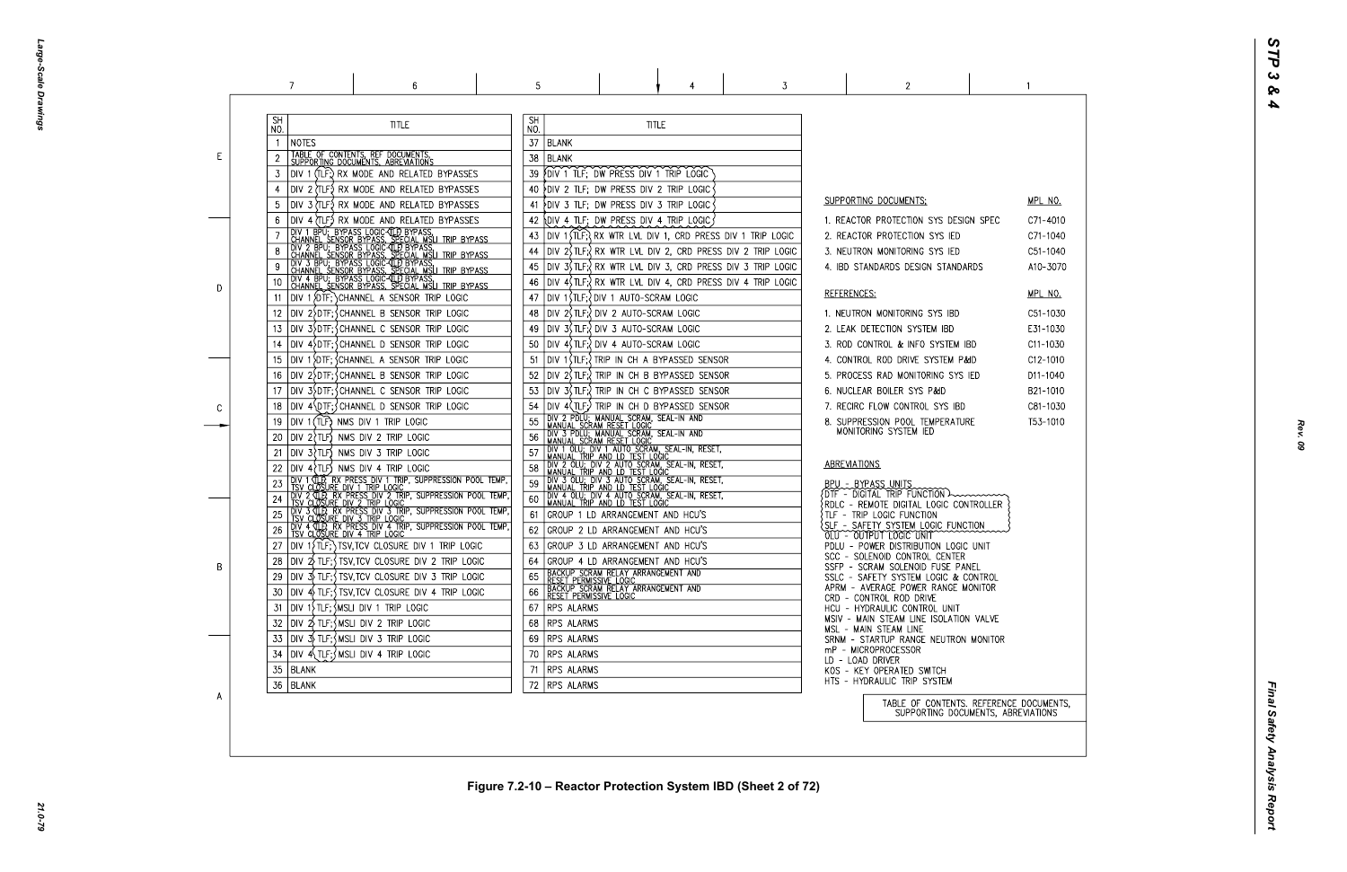Large-Scale Drawings *Large-Scale Drawings*

|    | 7                                                                                                                                                                                                                                        | 6                                                                                                                                                                                                                                                                                                                                                                                                                                                               | 5                                                                                                       |                                                                                                                                                                                                                                                                                                                                                                                                                                                                                                                                                                                   | 3                                                                                                                                                                                                                                                                                                                  | 2                                                                                                                                                                                                                                                                                                                                                                                                                                                                                                                                                                             |  |
|----|------------------------------------------------------------------------------------------------------------------------------------------------------------------------------------------------------------------------------------------|-----------------------------------------------------------------------------------------------------------------------------------------------------------------------------------------------------------------------------------------------------------------------------------------------------------------------------------------------------------------------------------------------------------------------------------------------------------------|---------------------------------------------------------------------------------------------------------|-----------------------------------------------------------------------------------------------------------------------------------------------------------------------------------------------------------------------------------------------------------------------------------------------------------------------------------------------------------------------------------------------------------------------------------------------------------------------------------------------------------------------------------------------------------------------------------|--------------------------------------------------------------------------------------------------------------------------------------------------------------------------------------------------------------------------------------------------------------------------------------------------------------------|-------------------------------------------------------------------------------------------------------------------------------------------------------------------------------------------------------------------------------------------------------------------------------------------------------------------------------------------------------------------------------------------------------------------------------------------------------------------------------------------------------------------------------------------------------------------------------|--|
| E. | <b>SH</b><br>NO.<br>NOTES<br>TABLE OF CONTENTS, REF DOCUMENTS, SUPPORTING DOCUMENTS, ABREVIATIONS<br>3                                                                                                                                   | <b>TITLE</b><br>DIV 1 (TLF;) RX MODE AND RELATED BYPASSES<br>DIV 2 (TLF) RX MODE AND RELATED BYPASSES                                                                                                                                                                                                                                                                                                                                                           | <b>SH</b><br>NO.<br>37<br><b>BLANK</b><br>38<br><b>BLANK</b><br>39.<br>40                               | <b>TITLE</b><br>FOIV 1 TLF; DW PRESS DIV 1 TRIP LOGIC<br>DIV 2 TLF; DW PRESS DIV 2 TRIP LOGIC                                                                                                                                                                                                                                                                                                                                                                                                                                                                                     |                                                                                                                                                                                                                                                                                                                    |                                                                                                                                                                                                                                                                                                                                                                                                                                                                                                                                                                               |  |
| D  | 10<br>11<br>12<br>13                                                                                                                                                                                                                     | DIV 3 (TLF) RX MODE AND RELATED BYPASSES<br>DIV 4 (TLF.) RX MODE AND RELATED BYPASSES<br><b>THE TRANSPORT OF THE CONSUMING CONTROLS ON THE CONSUMING CONSUMING CONSUMING CONSUMING CONSUMING CONSUMING CONSUMING CONSUMING CONSUMING CONSUMING CONSUMING CONSUMING CONSUMING CONSUMING CONSUMING CONSUMING CONSUMING CONS</b><br>DIV 1 {DTF; } CHANNEL A SENSOR TRIP LOGIC<br>DIV 2>DTF; SCHANNEL B SENSOR TRIP LOGIC<br>DIV 3>DTF; CHANNEL C SENSOR TRIP LOGIC | 41<br>42<br>43<br>44<br>45<br>46<br>47<br>48<br>49                                                      | PDIV 3 TLF; DW PRESS DIV 3 TRIP LOGIC<br>OIV 4 TLF; DW PRESS DIV 4 TRIP LOGIC<br>DIV 1 STLF; OIV 1 AUTO-SCRAM LOGIC<br> DIV 2(TLF:\DIV 2 AUTO-SCRAM LOGIC<br>DIV 3(TLF;) DIV 3 AUTO-SCRAM LOGIC                                                                                                                                                                                                                                                                                                                                                                                   | DIV 1 $\overline{I}$ (TLF; $\overline{I}$ RX WTR LVL DIV 1, CRD PRESS DIV 1 TRIP LOGIC<br>DIV $2\sqrt{t}$ TLF; $\sqrt{t}$ RX WTR LVL DIV 2, CRD PRESS DIV 2 TRIP LOGIC<br>DIV 3\$TLF; RX WTR LVL DIV 3, CRD PRESS DIV 3 TRIP LOGIC<br>DIV $4\sqrt{t}$ TLF; $\sqrt{t}$ RX WTR LVL DIV 4, CRD PRESS DIV 4 TRIP LOGIC | SUPPORTING DOCUMENTS:<br>1. REACTOR PROTECTION SYS DESIGN SPE<br>2. REACTOR PROTECTION SYS IED<br>3. NEUTRON MONITORING SYS IED<br>4. IBD STANDARDS DESIGN STANDARDS<br>REFERENCES:<br>1. NEUTRON MONITORING SYS IBD<br>2. LEAK DETECTION SYSTEM IBD                                                                                                                                                                                                                                                                                                                          |  |
| C  | 14<br>15<br>16<br>17<br>18<br>DIV 1 (TLF) NMS DIV 1 TRIP LOGIC<br>19<br>$DIV$ 2 $TLF$ NMS DIV 2 TRIP LOGIC<br>20                                                                                                                         | DIV 4 DTF; CHANNEL D SENSOR TRIP LOGIC<br>DIV 1 DIF; CHANNEL A SENSOR TRIP LOGIC<br>DIV 2 DTF; CHANNEL B SENSOR TRIP LOGIC<br>DIV 3 DTF; CHANNEL C SENSOR TRIP LOGIC<br>DIV 4\DTF; CHANNEL D SENSOR TRIP LOGIC                                                                                                                                                                                                                                                  | 50<br>51<br>52<br>53<br>54<br>55<br>56                                                                  | DIV 4, TLF: UN 4 AUTO-SCRAM LOGIC<br>DIV 1(TLF; ) TRIP IN CH A BYPASSED SENSOR<br>DIV 2, TLF; TRIP IN CH B BYPASSED SENSOR<br>DIV 3(TLF:) TRIP IN CH C BYPASSED SENSOR<br>DIV 4(TLF;) TRIP IN CH D BYPASSED SENSOR<br>DIV 2 PDLU; MANUAL SCRAM, SEAL-IN AND<br>MANUAL SCRAM RESET LOGIC<br>DIV 3 PDLU; MANUAL SCRĂM, SEAL-IN AND<br>MANUAL SCRAM RESET LOGIC                                                                                                                                                                                                                      |                                                                                                                                                                                                                                                                                                                    | 3. ROD CONTROL & INFO SYSTEM IBD<br>4. CONTROL ROD DRIVE SYSTEM P&ID<br>5. PROCESS RAD MONITORING SYS IED<br>6. NUCLEAR BOILER SYS P&ID<br>7. RECIRC FLOW CONTROL SYS IBD<br>8. SUPPRESSION POOL TEMPERATURE<br>MONITORING SYSTEM IED                                                                                                                                                                                                                                                                                                                                         |  |
| B  | $DIV 3$ $TLF$ NMS DIV 3 TRIP LOGIC<br>21<br>$DIV 4$ $TLF$ ) NMS DIV 4 TRIP LOGIC<br>26<br>28<br>30<br>$ $ DIV 1 $\rangle$ TLF; $\zeta$ MSLI DIV 1 TRIP LOGIC<br>31<br>$ $ DIV $2\sqrt{ }$ TLF; $\frac{1}{2}$ MSLI DIV 2 TRIP LOGIC<br>32 | DIV 4 TLP, RX PRESS DIV 4 TRIP, SUPPRESSION POOL TEMP,<br>TSV CLOSURE DIV 4 TRIP LOGIC<br>DIV $1\overline{1}$ (TLF; ) TSV, TCV CLOSURE DIV 1 TRIP LOGIC<br>$ D V \t2$ TLF; $\int$ TSV, TCV CLOSURE DIV 2 TRIP LOGIC<br> DIV 3) TLF;{TSV,TCV CLOSURE DIV 3 TRIP LOGIC<br>$ D V $ 4 $\frac{1}{2}$ TLF; $\frac{1}{2}$ TSV, TCV CLOSURE DIV 4 TRIP LOGIC                                                                                                            | 57<br>58<br>59<br>60<br>61<br>62<br>63<br>64<br>65<br>66<br>RPS ALARMS<br>67<br><b>RPS ALARMS</b><br>68 | THE THE THE THE SCRAM, SEAL-IN, RESET,<br>I MANUAL TRIP AND LD TEST LOGIC<br>DIV 2 OLU; DIV 2 AUTO SCRAM, SEAL-IN, RESET,<br>I MANUAL TRIP AND LD TEST LOGIC<br>DIV 3 OLU; DIV 3 AUTO SCRAM, SEAL-IN, RESET,<br>MANUAL TRIP AND LD TEST LOGIC<br>DIV 4 OLU; DIV 4 AUTO SCRAM, SEAL-IN, RESET,<br>GROUP 1 LD ARRANGEMENT AND HCU'S<br>GROUP 2 LD ARRANGEMENT AND HCU'S<br>GROUP 3 LD ARRANGEMENT AND HCU'S<br>GROUP 4 LD ARRANGEMENT AND HCU'S<br>TBACKUP SCRAM RELAY ARRANGEMENT AND<br>TRESET PERMISSIVE LOGIC<br>TBACKUP SCRAM RELAY ARRANGEMENT AND<br>TRESET PERMISSIVE LOGIC |                                                                                                                                                                                                                                                                                                                    | ABREVIATIONS<br>BPU - BYPASS UNITS<br>$\{$ DTF - DIGITAL TRIP FUNCTION $\rightarrow$<br>$\{ \texttt{RDLC}$ - $\texttt{REMOTE}$ digital logic controlle<br>TLF - TRIP LOGIC FUNCTION<br>SLF - SAFETY SYSTEM LOGIC FUNCTION<br>OLU - OUTPUT LOGIC UNIT<br>PDLU - POWER DISTRIBUTION LOGIC UNIT<br>SCC - SOLENOID CONTROL CENTER<br>SSFP - SCRAM SOLENOID FUSE PANEL<br>SSLC - SAFETY SYSTEM LOGIC & CONTROL<br>APRM - AVERAGE POWER RANGE MONITOR<br>CRD - CONTROL ROD DRIVE<br>HCU - HYDRAULIC CONTROL UNIT<br>MSIV - MAIN STEAM LINE ISOLATION VALVI<br>MSL - MAIN STEAM LINE |  |
| A  | $ D V \rightrightarrows$ TLF; $\wedge$ MSLI DIV 3 TRIP LOGIC<br>33<br>$Div 4\{TLF\}$ MSLI DIV 4 TRIP LOGIC<br>34<br>35<br>BLANK<br>36   BLANK                                                                                            |                                                                                                                                                                                                                                                                                                                                                                                                                                                                 | RPS ALARMS<br>69<br>RPS ALARMS<br>70<br><b>RPS ALARMS</b><br>71<br>RPS ALARMS<br>72                     |                                                                                                                                                                                                                                                                                                                                                                                                                                                                                                                                                                                   |                                                                                                                                                                                                                                                                                                                    | SRNM - STARTUP RANGE NEUTRON MONIT<br>mP - MICROPROCESSOR<br>LD - LOAD DRIVER<br>KOS - KEY OPERATED SWITCH<br>HTS - HYDRAULIC TRIP SYSTEM<br>TABLE OF CONTENTS. REFER<br>SUPPORTING DOCUMENTS                                                                                                                                                                                                                                                                                                                                                                                 |  |

| C               | MPL NO.<br>C71-4010<br>C71-1040<br>C51-1040<br>A10-3070                                                        |
|-----------------|----------------------------------------------------------------------------------------------------------------|
|                 | <u>MPL NO.</u><br>C51-1030<br>E31-1030<br>C11-1030<br>C12-1010<br>D11-1040<br>B21-1010<br>C81-1030<br>T53-1010 |
| .ER             |                                                                                                                |
| R               |                                                                                                                |
| νE<br>TOR       |                                                                                                                |
| S, ABREVIATIONS | RENCE DOCUMENTS,                                                                                               |

 $\sim$  1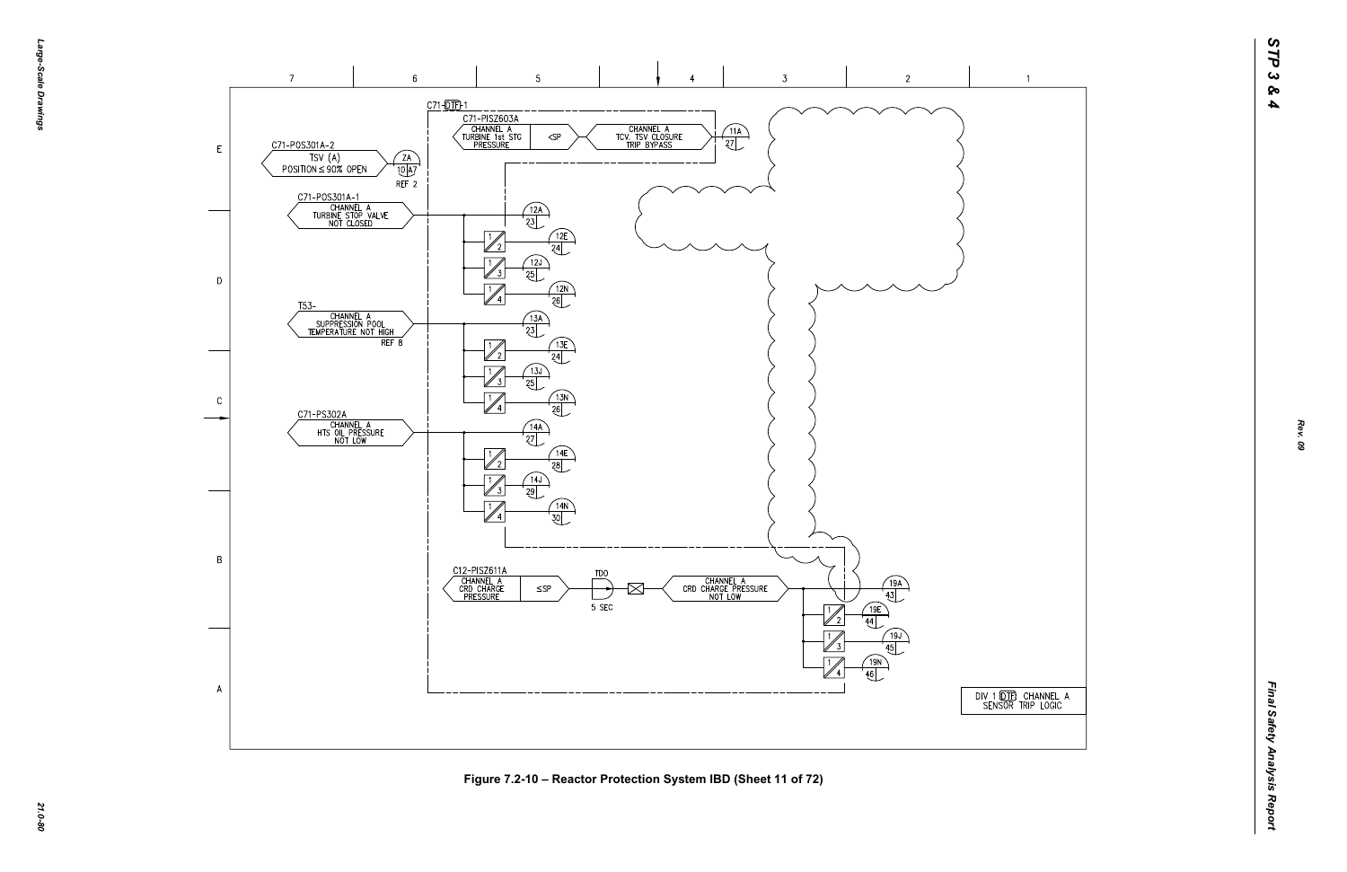-эбле-*Large-Scale Drawings* -Scale Drawings



*21.0-80* **Figure 7.2-10 – Reactor Protection System IBD (Sheet 11 of 72)**

DIV 1 (OTE) CHANNEL A<br>SENSOR TRIP LOGIC

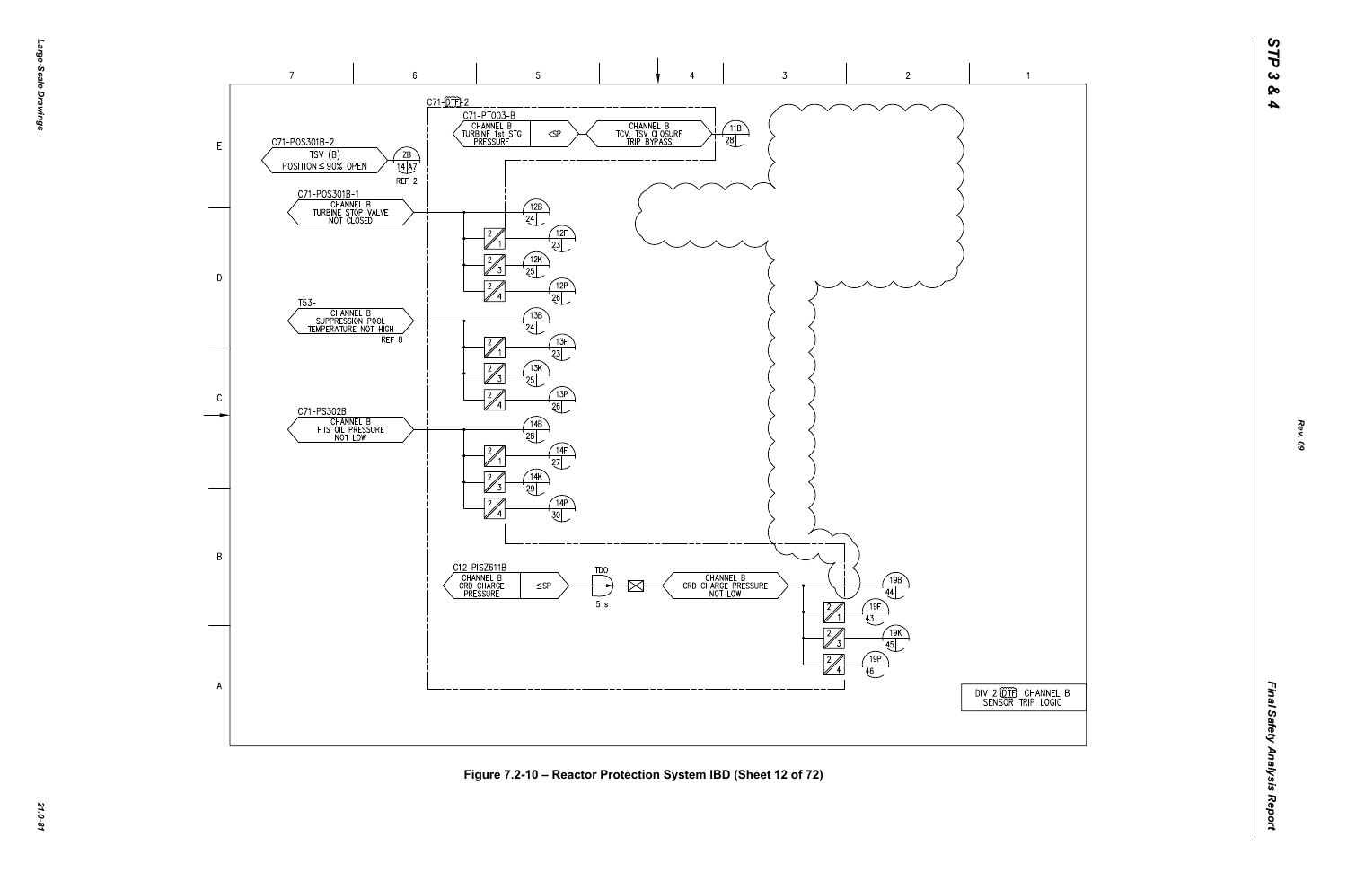





*21.0-81* **Figure 7.2-10 – Reactor Protection System IBD (Sheet 12 of 72)**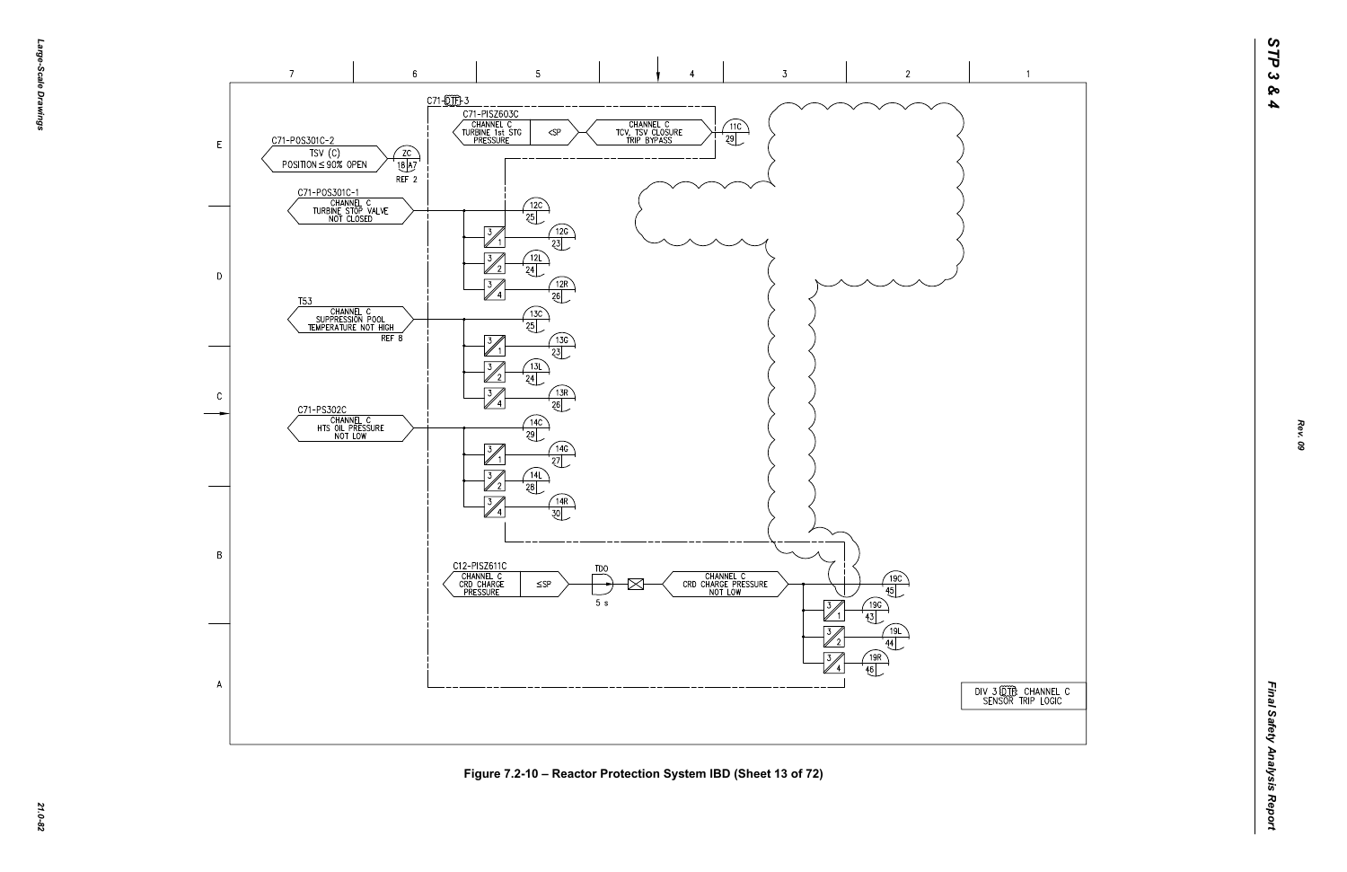



*21.0-82* **Figure 7.2-10 – Reactor Protection System IBD (Sheet 13 of 72)**

 $\overline{1}$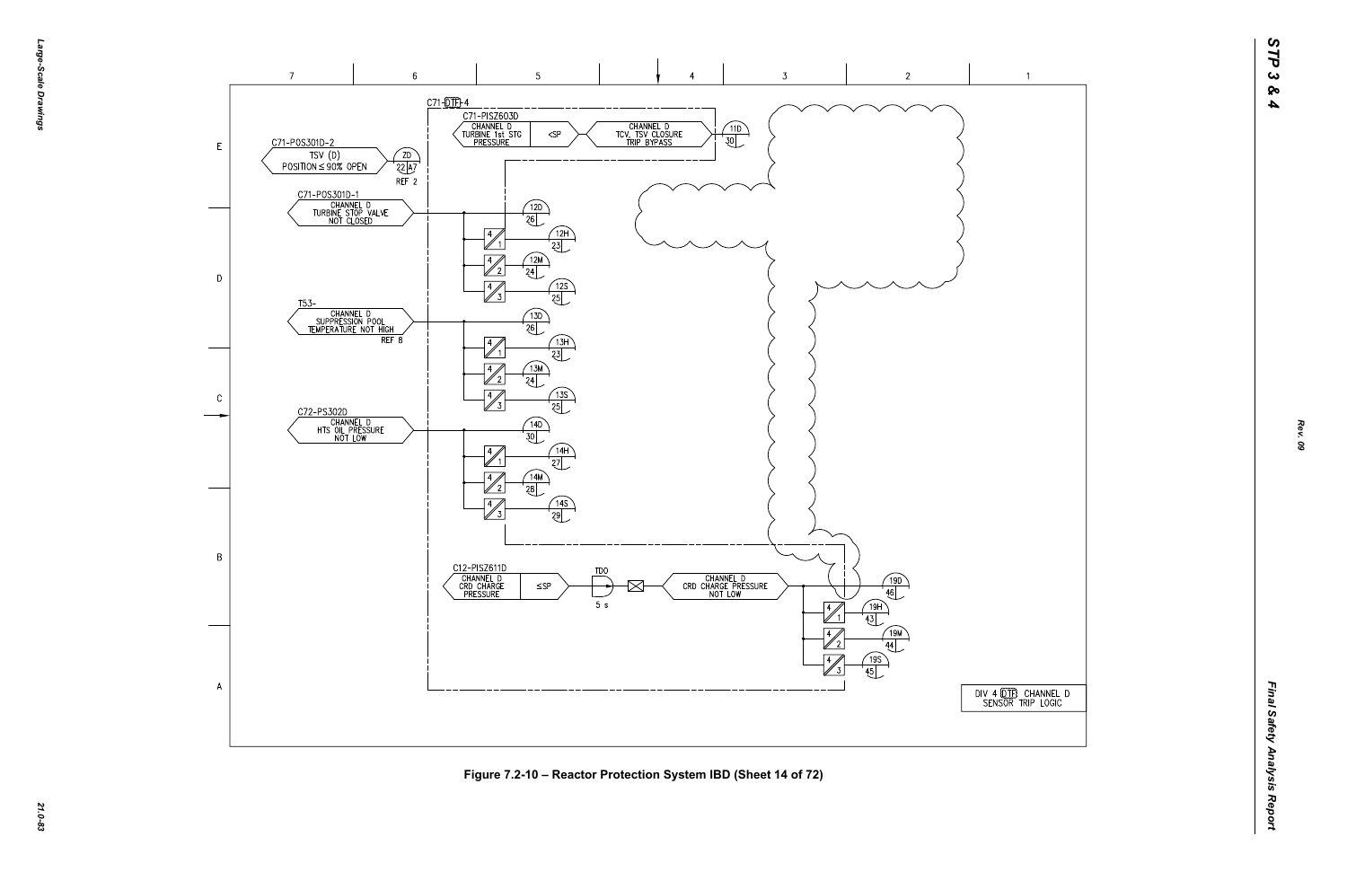## $\overline{1}$







*21.0-83* **Figure 7.2-10 – Reactor Protection System IBD (Sheet 14 of 72)**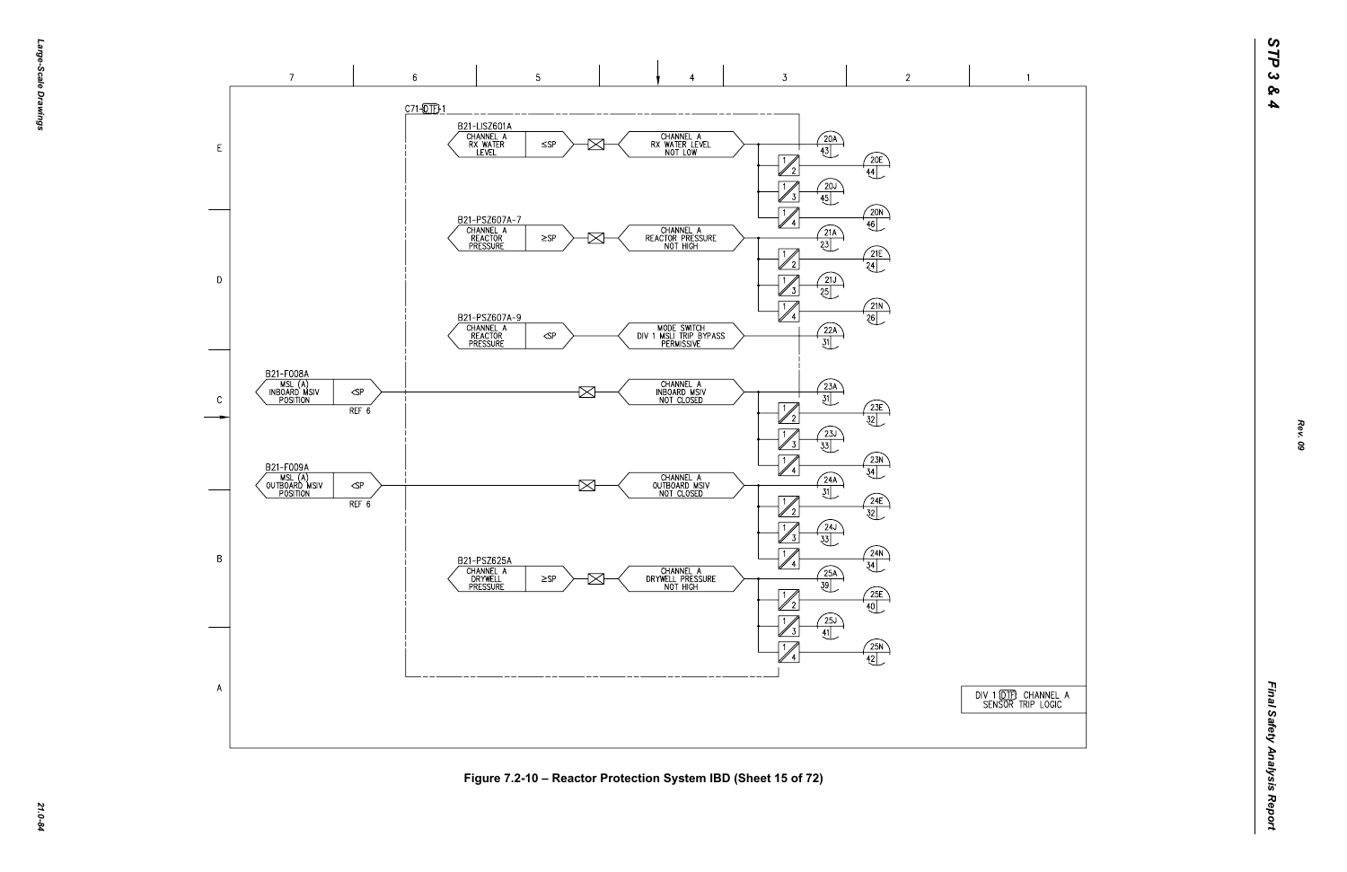



Figure 7.2-10 – Reactor Protection System IBD (Sheet 15 of 72)<br>ية<br>يُ<sup>م</sup>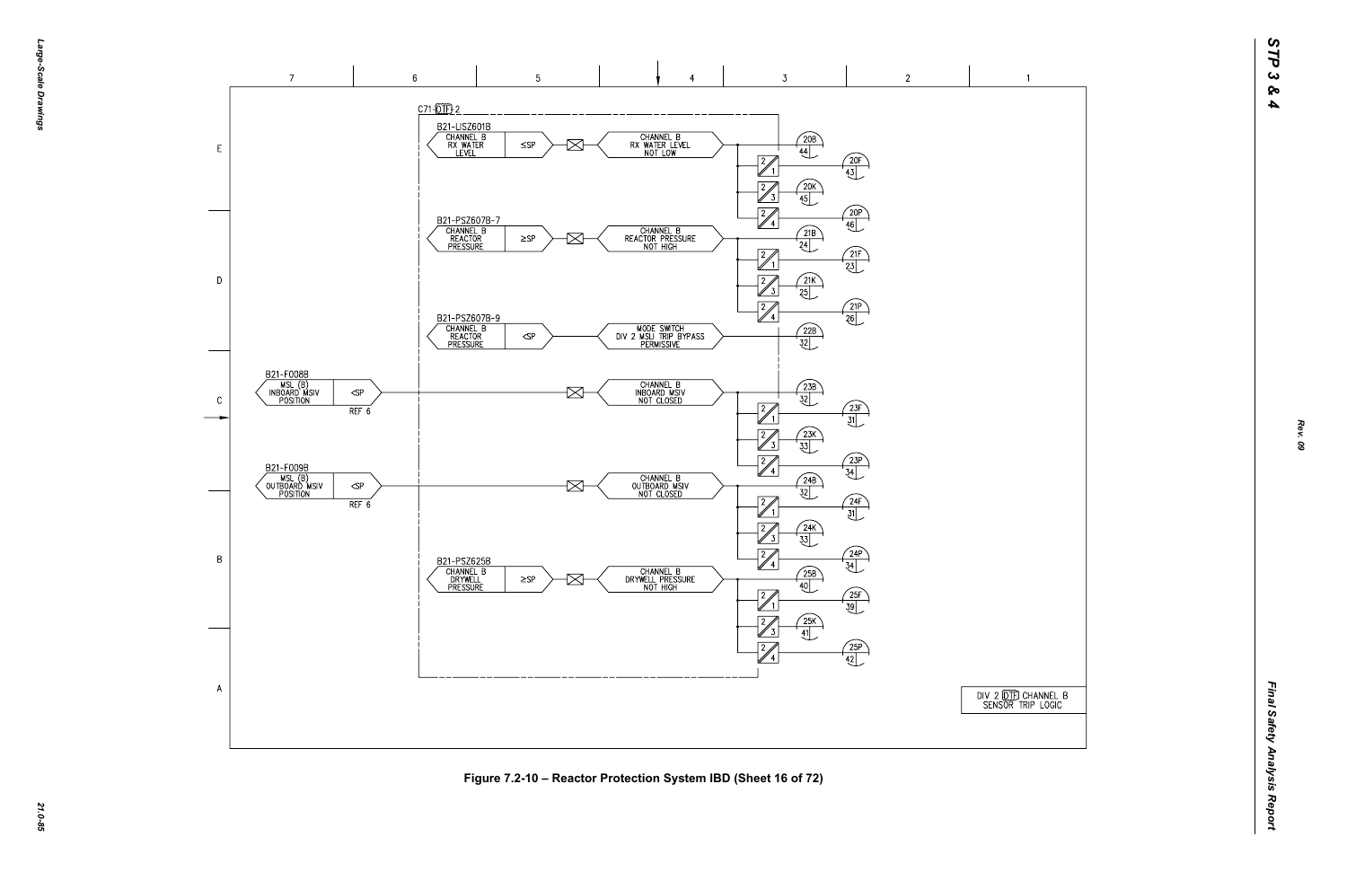



*21.0-85* **Figure 7.2-10 – Reactor Protection System IBD (Sheet 16 of 72)**

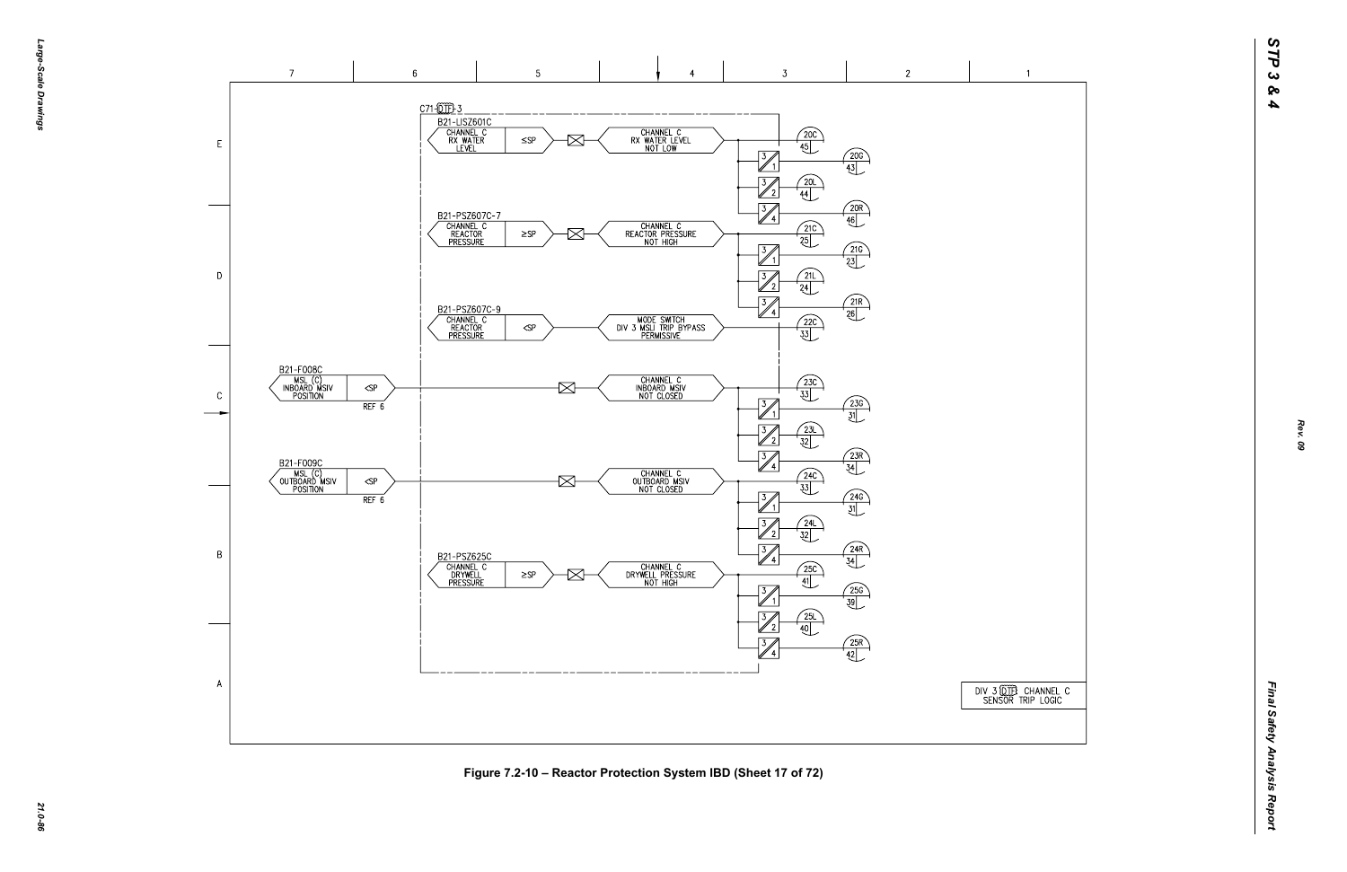DIV 3 00 THE CHANNEL C<br>SENSOR TRIP LOGIC



*21.0-86* **Figure 7.2-10 – Reactor Protection System IBD (Sheet 17 of 72)**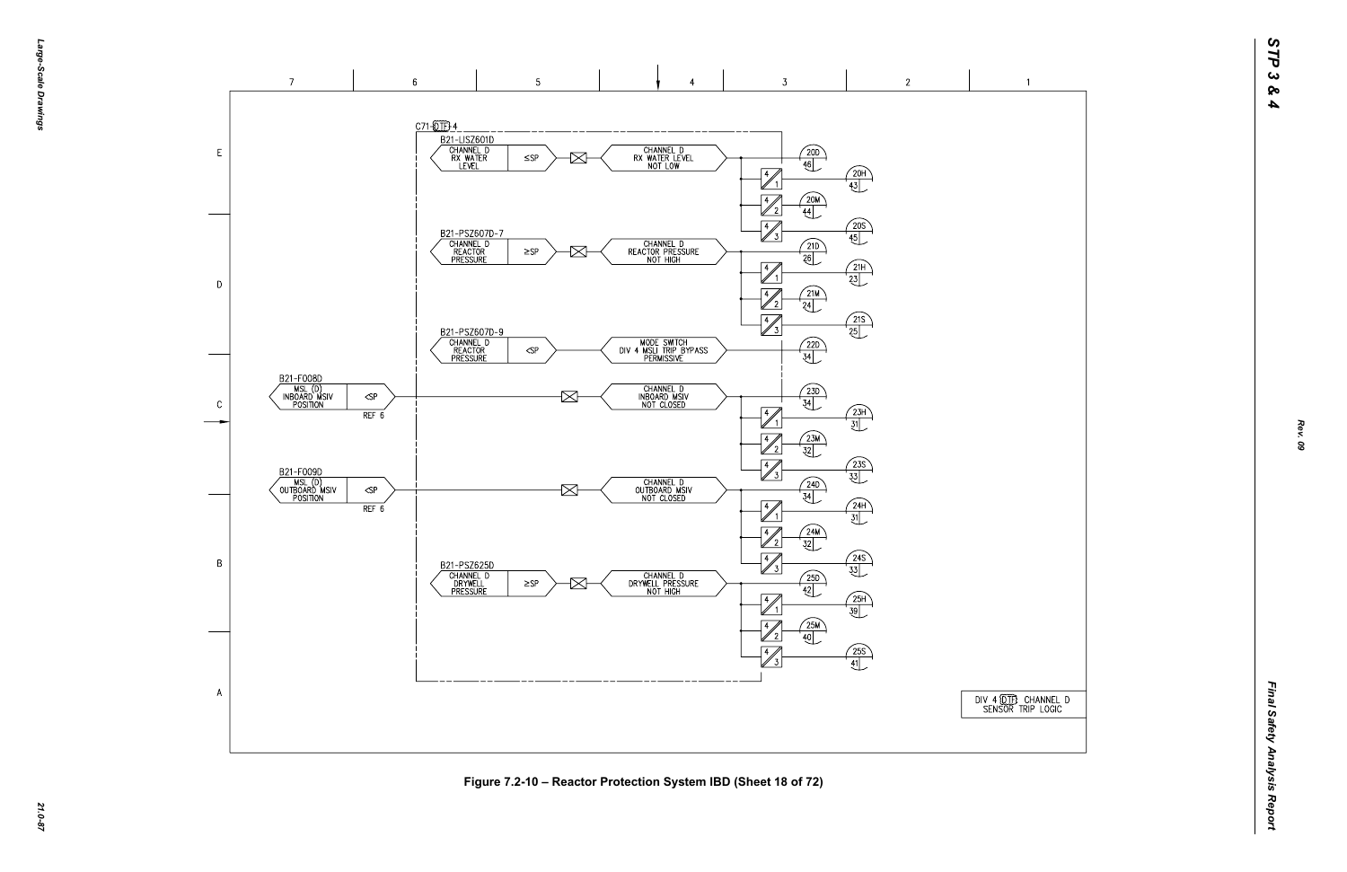DIV 4 (DTF) CHANNEL D<br>SENSOR TRIP LOGIC

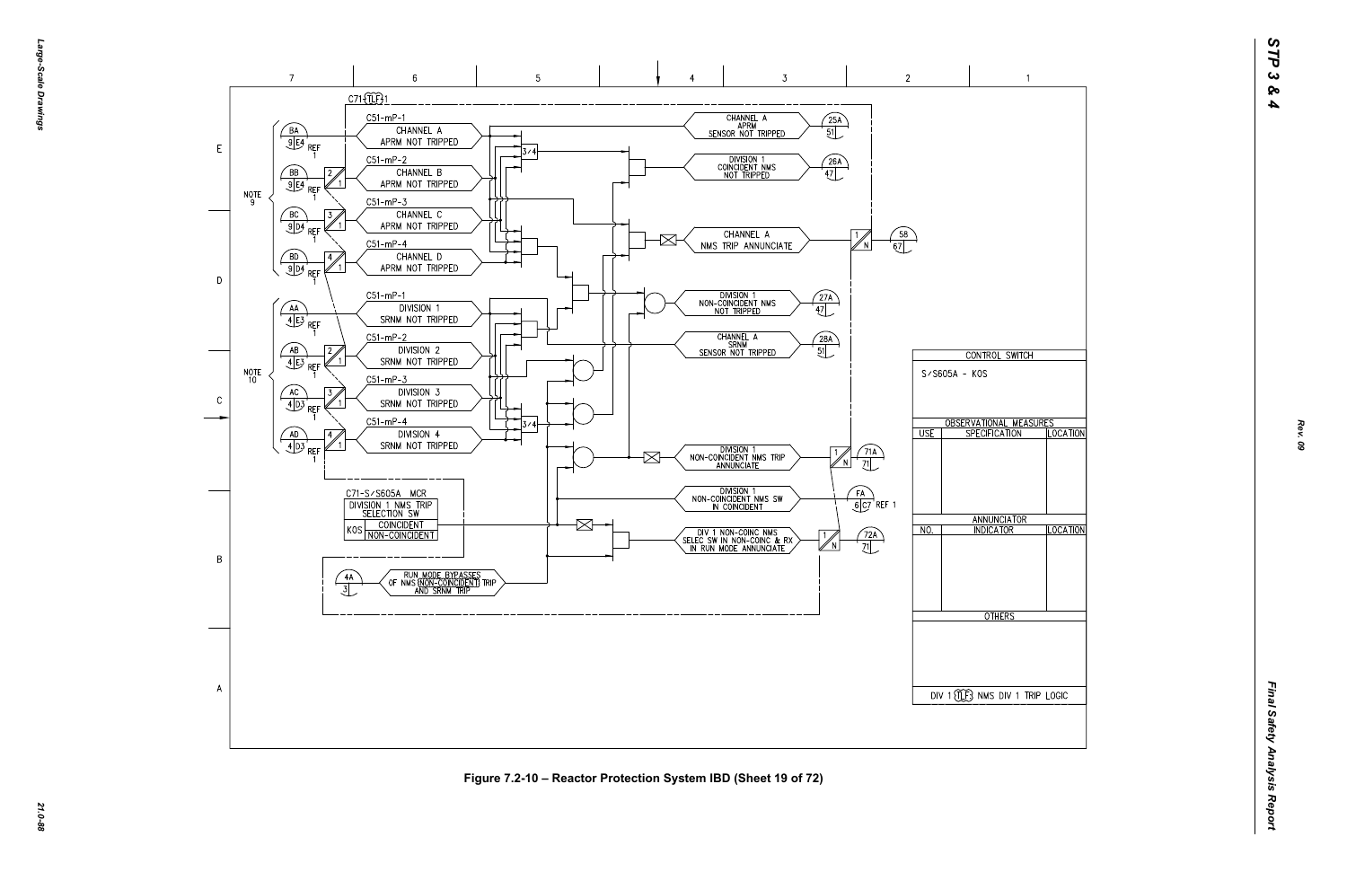

*21.0-88* **Figure 7.2-10 – Reactor Protection System IBD (Sheet 19 of 72)**

*Rev. 09*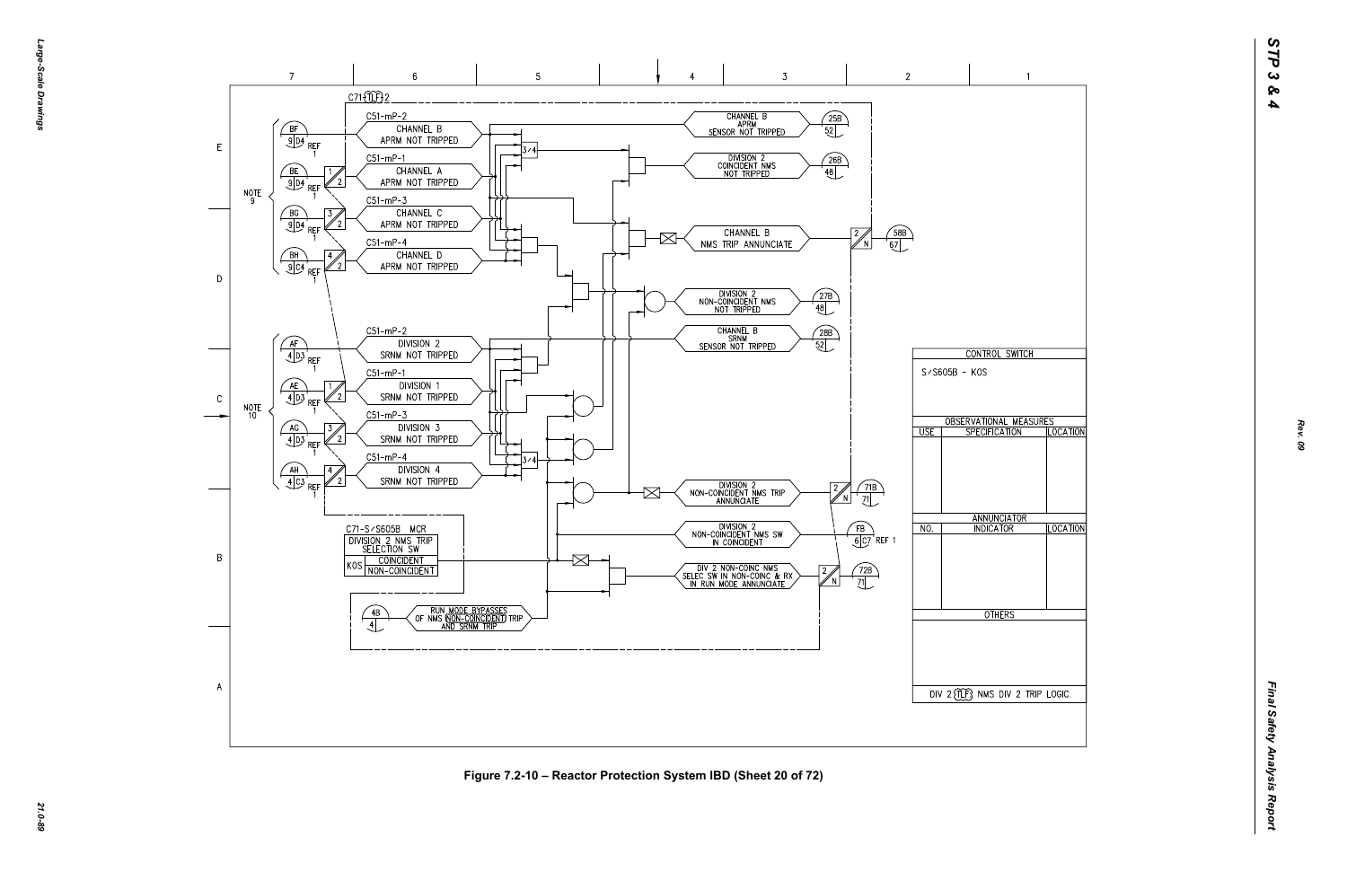

*21.0-89* **Figure 7.2-10 – Reactor Protection System IBD (Sheet 20 of 72)**

*Rev. 09*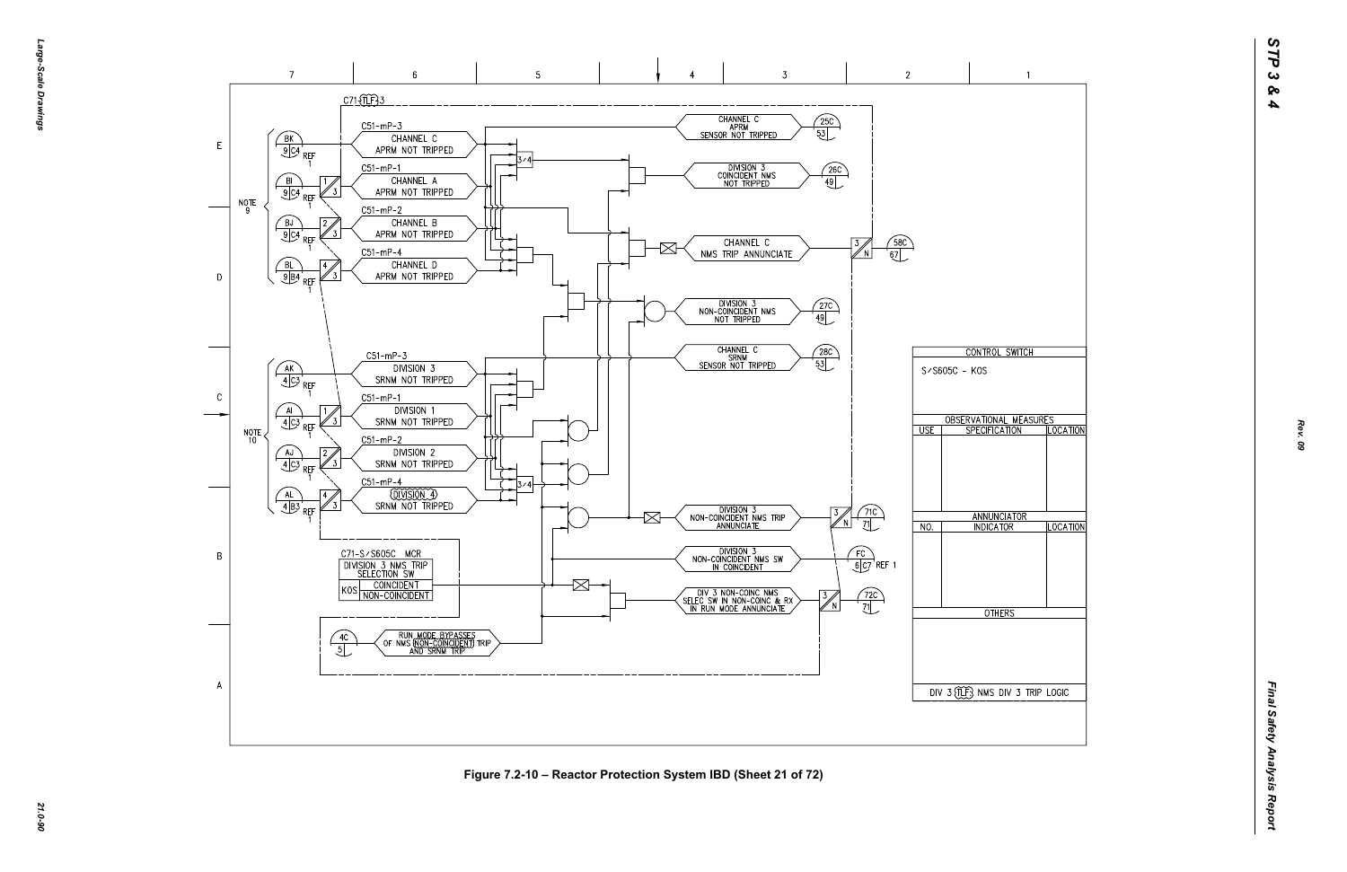

*21.0-90* **Figure 7.2-10 – Reactor Protection System IBD (Sheet 21 of 72)**

*Rev. 09*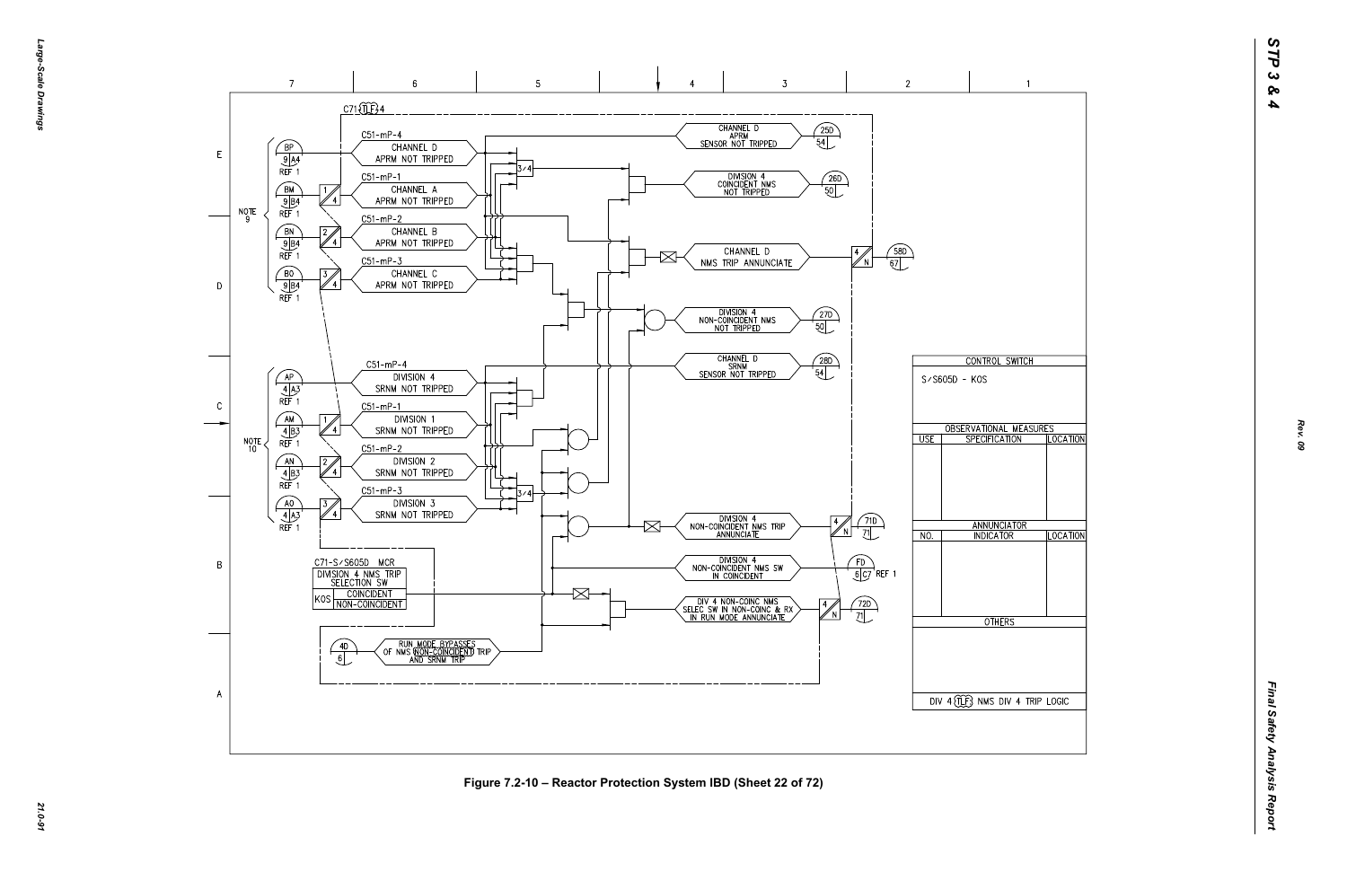*Large-Scale Drawings* arge--Scale Drawings

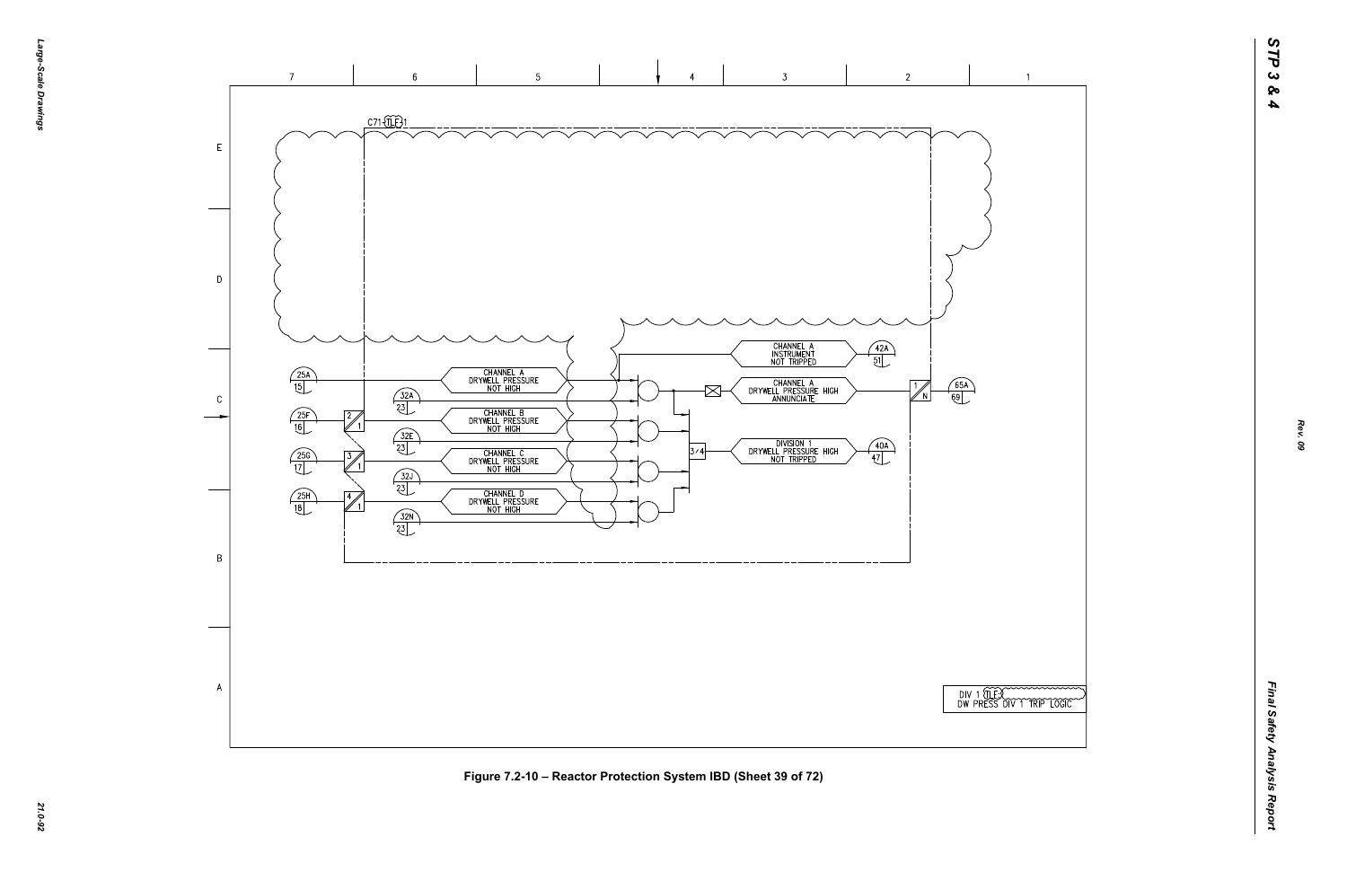

*21.0-92* **Figure 7.2-10 – Reactor Protection System IBD (Sheet 39 of 72)**



*Rev. 09*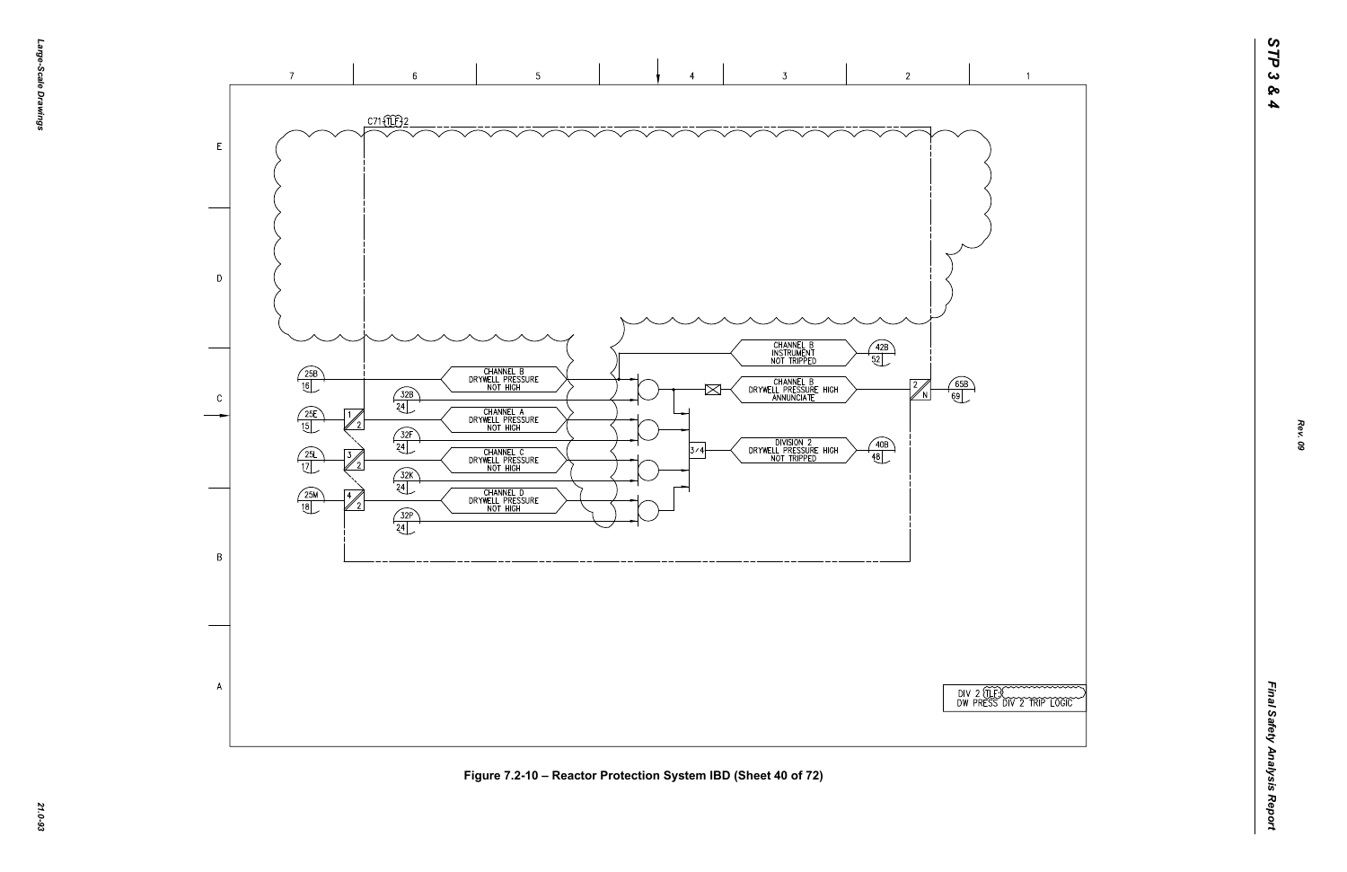

|  |  | TEROOM |  |
|--|--|--------|--|

 $\overline{1}$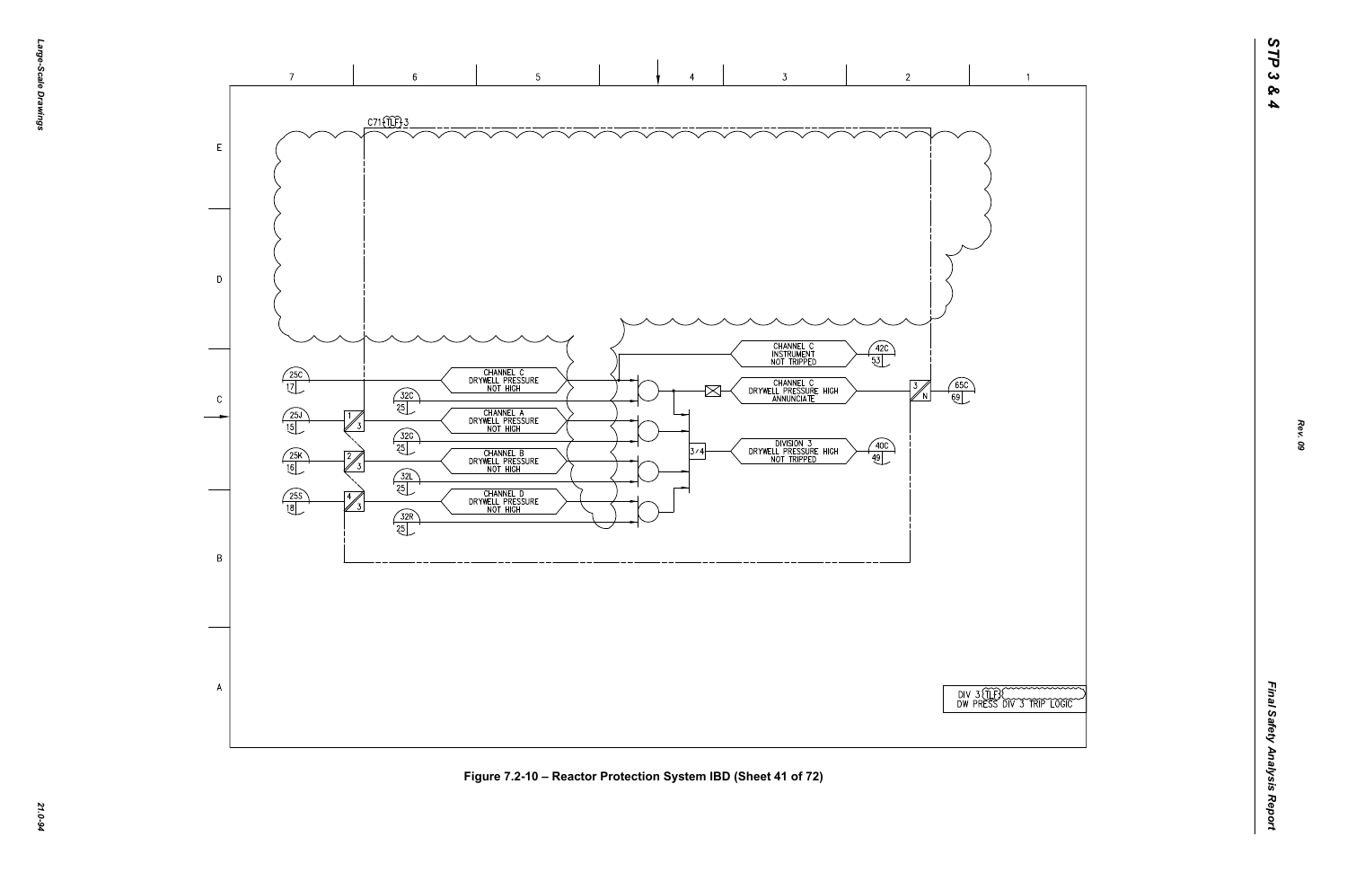

*21.0-94* **Figure 7.2-10 – Reactor Protection System IBD (Sheet 41 of 72)**



*Rev. 09*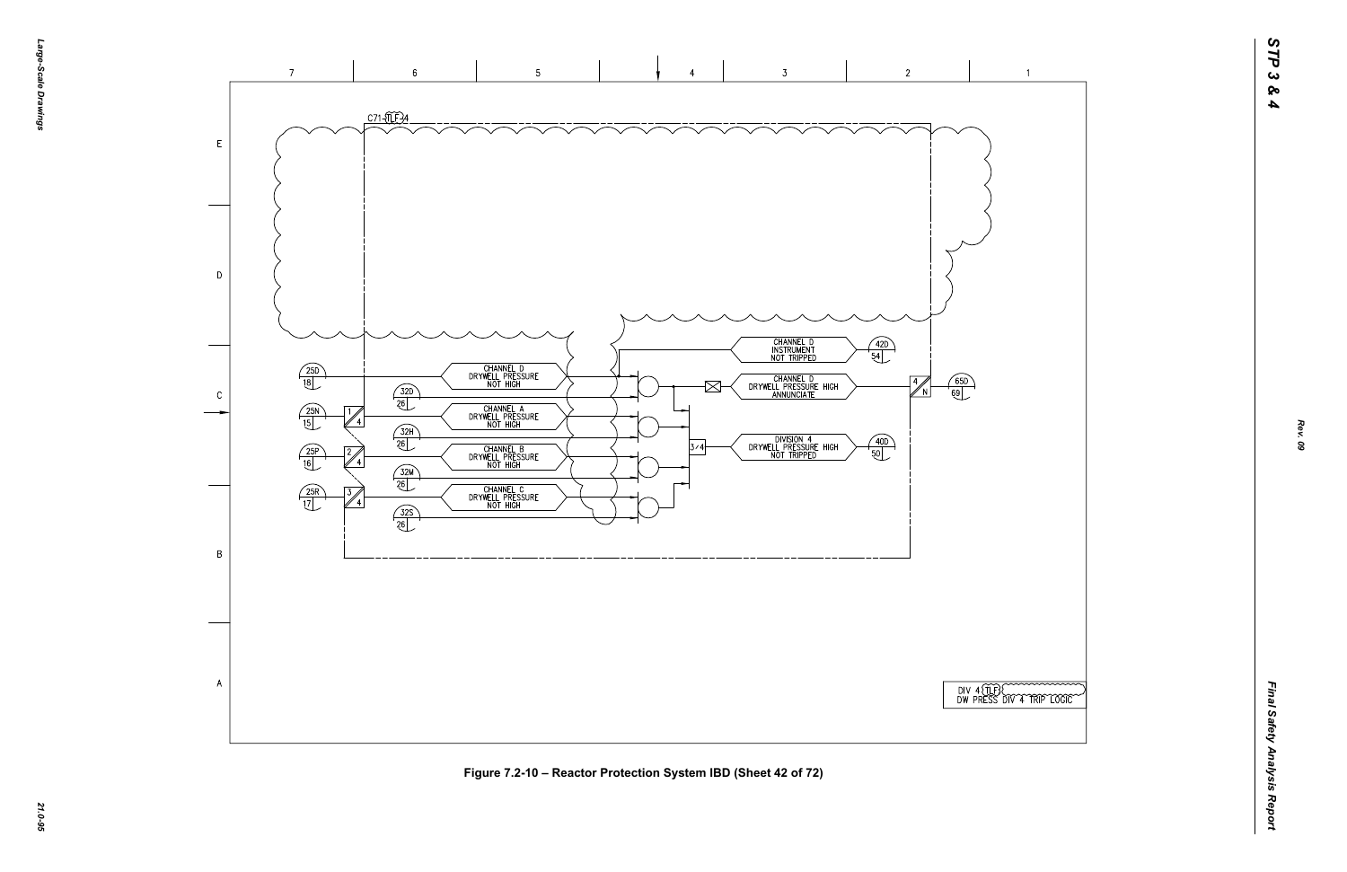



 $\overline{1}$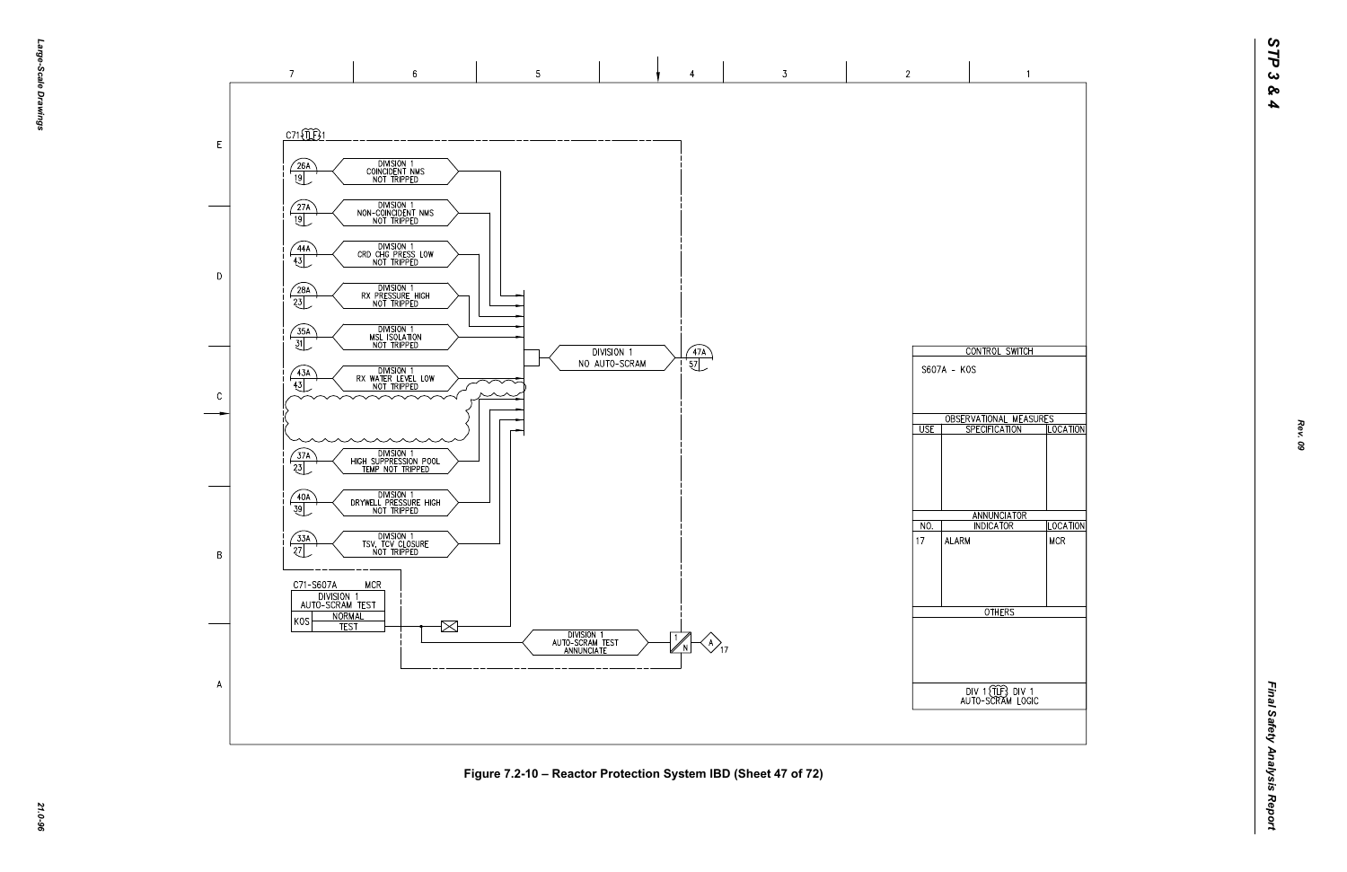

*21.0-96* **Figure 7.2-10 – Reactor Protection System IBD (Sheet 47 of 72)**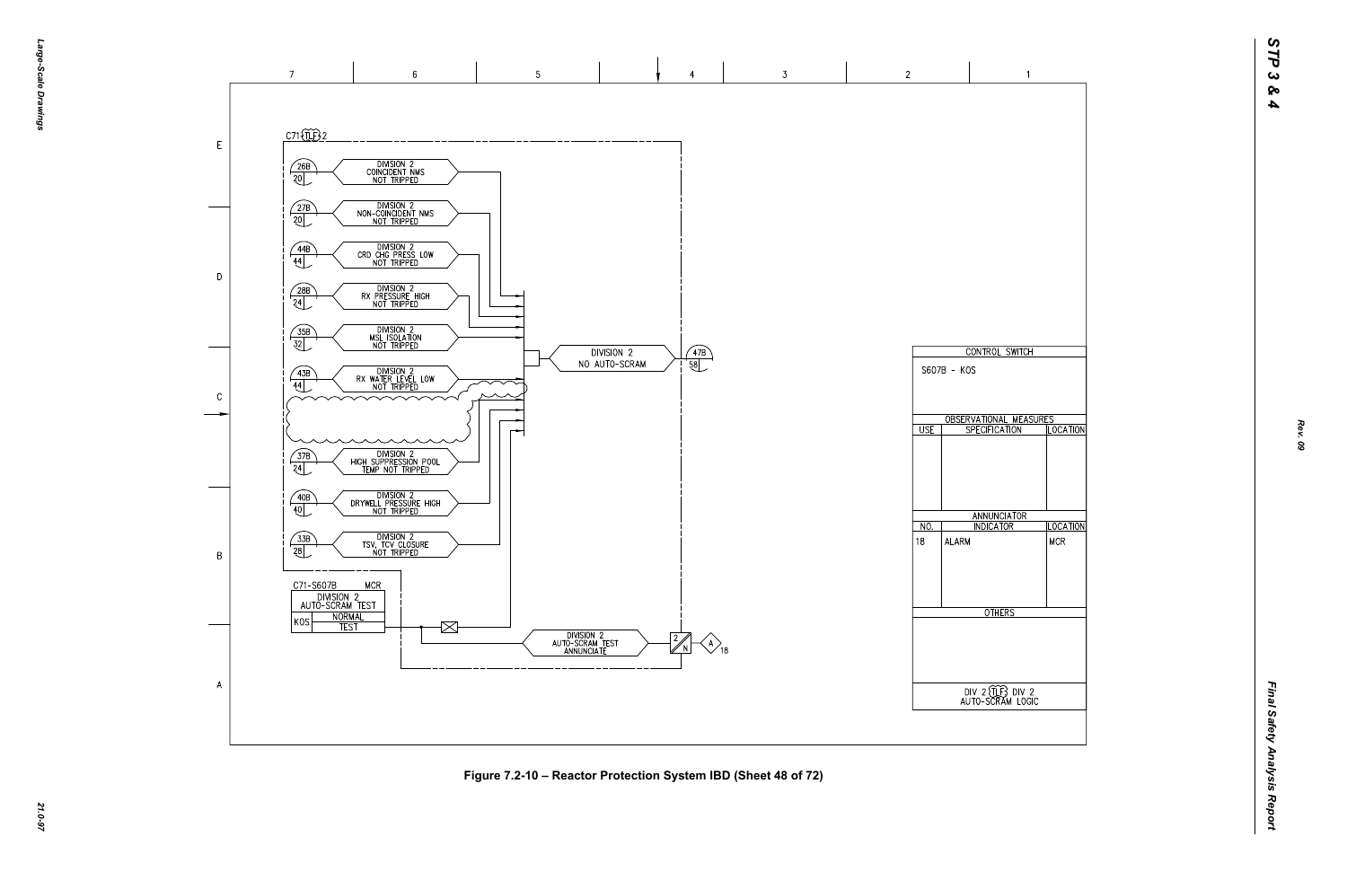

*21.0-97* **Figure 7.2-10 – Reactor Protection System IBD (Sheet 48 of 72)**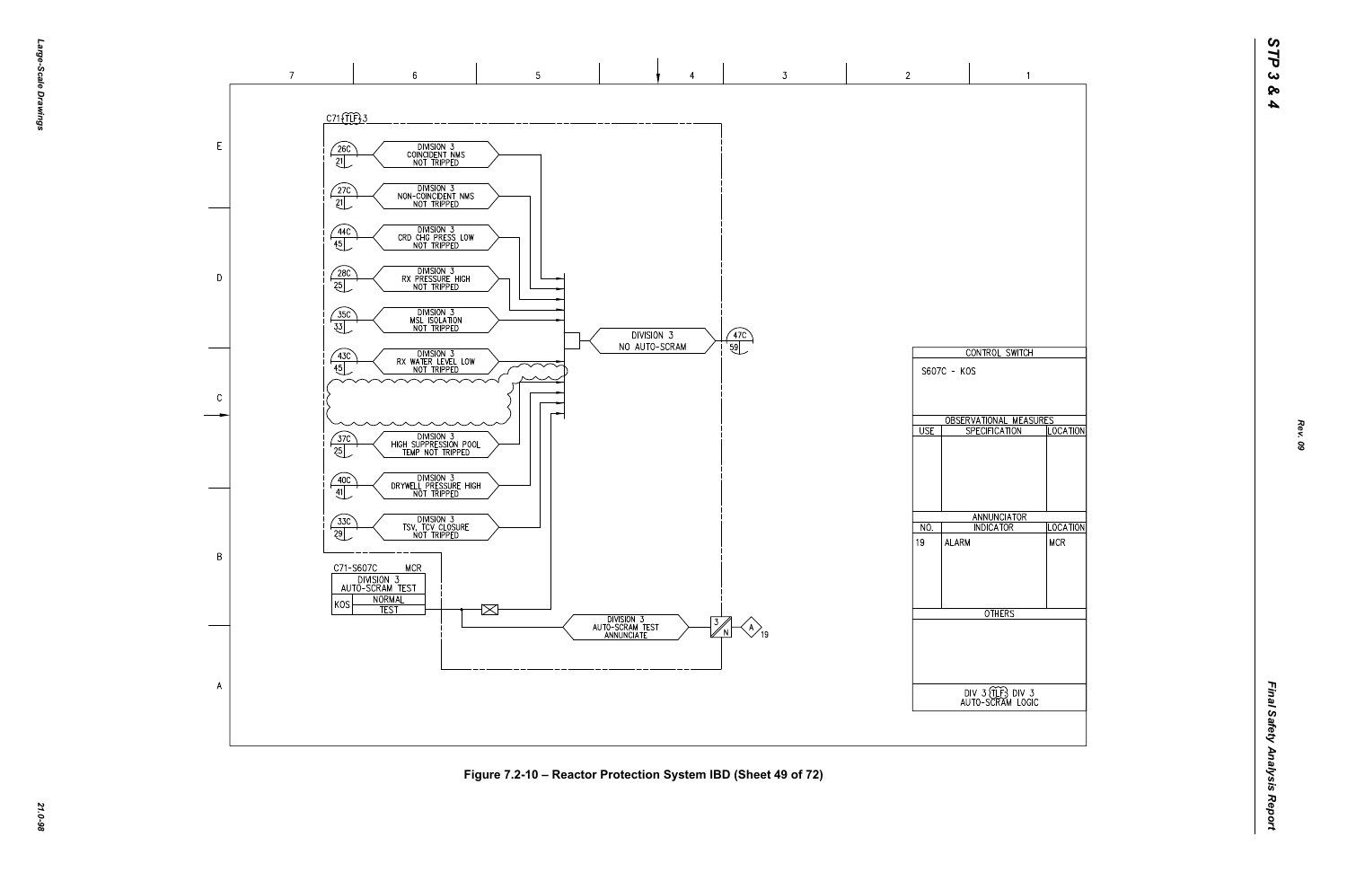

*21.0-98* **Figure 7.2-10 – Reactor Protection System IBD (Sheet 49 of 72)**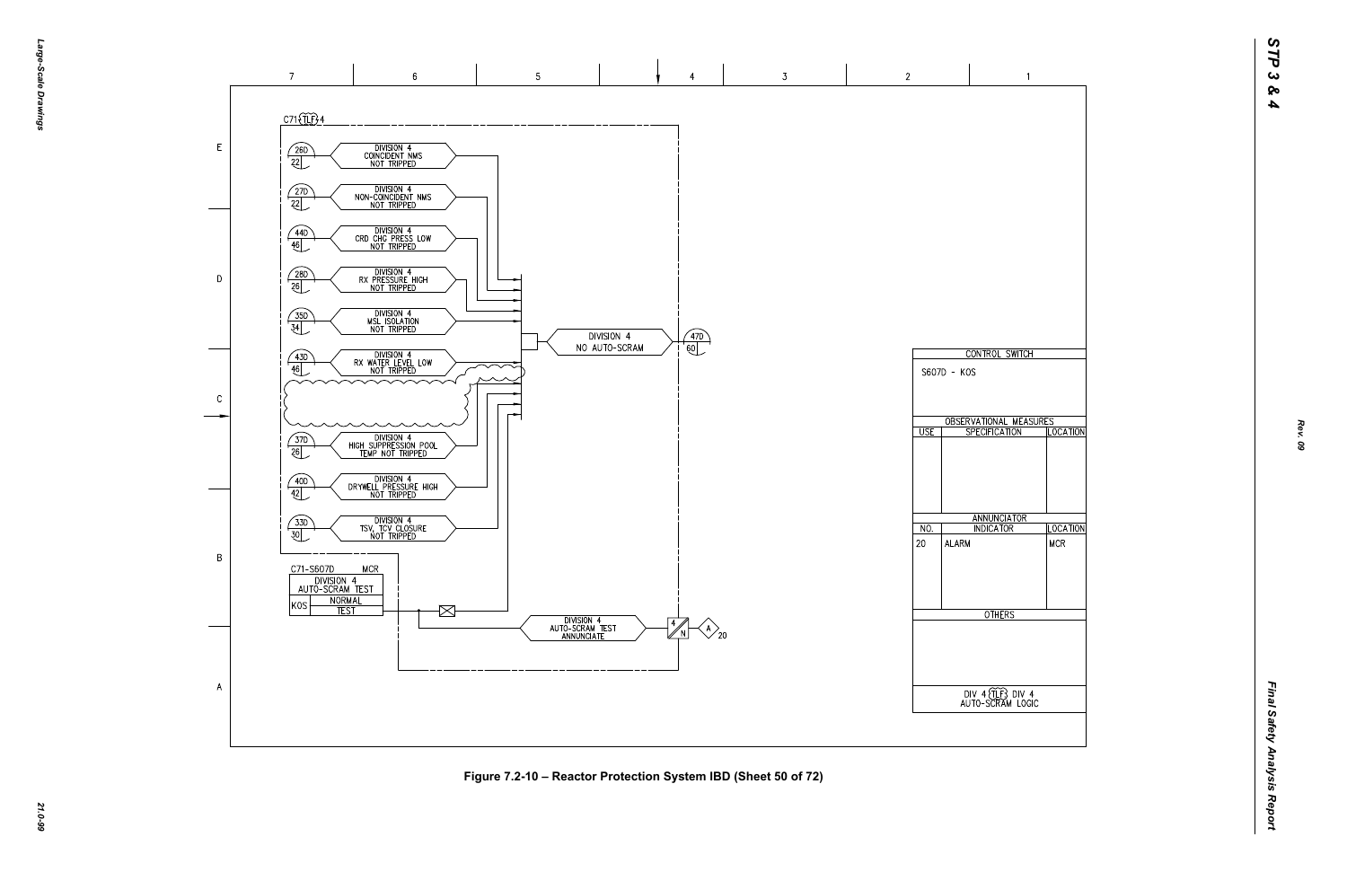*STP 3 & 4*



*21.0-99* **Figure 7.2-10 – Reactor Protection System IBD (Sheet 50 of 72)**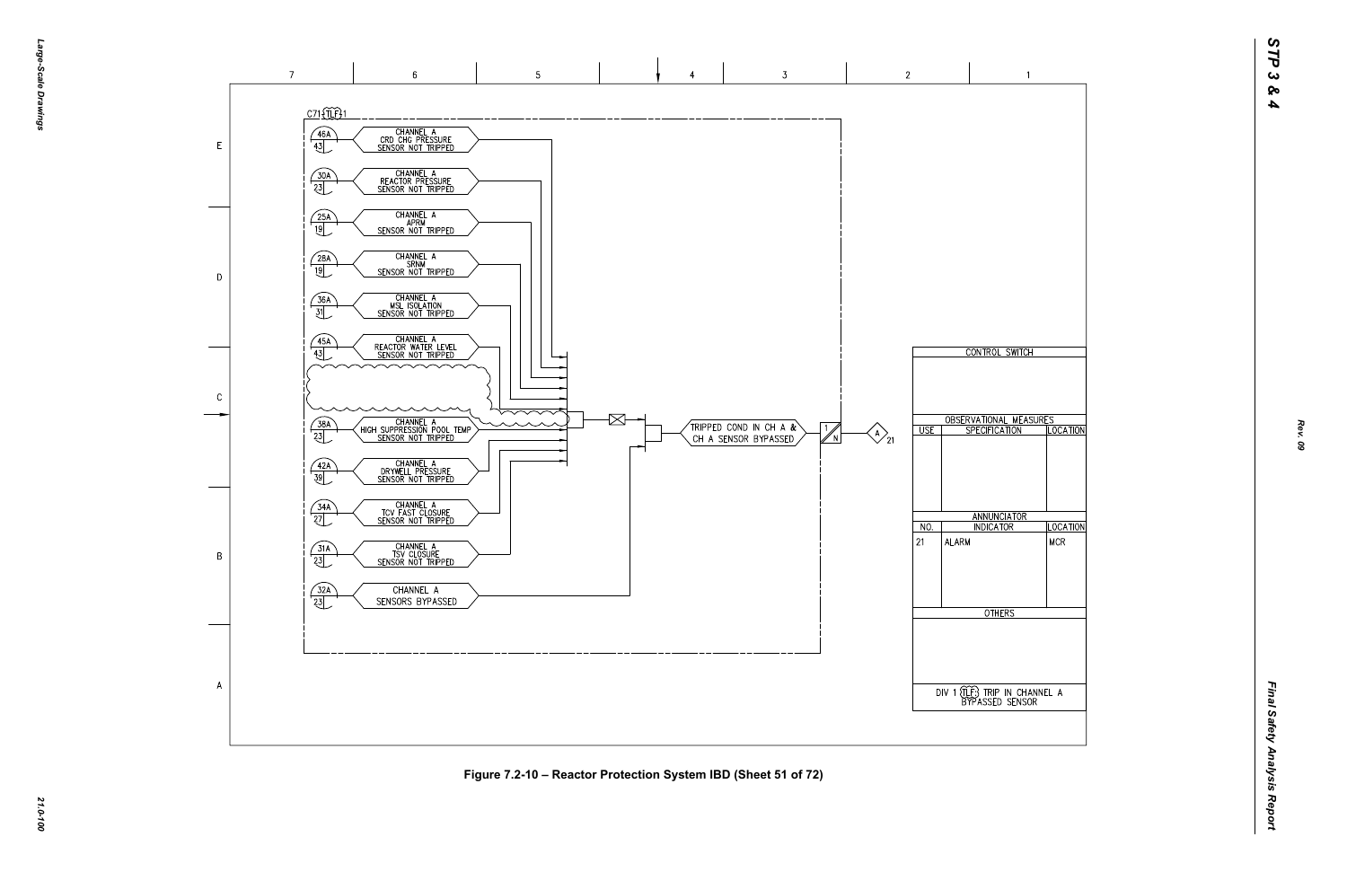



*21.0-100* **Figure 7.2-10 – Reactor Protection System IBD (Sheet 51 of 72)**

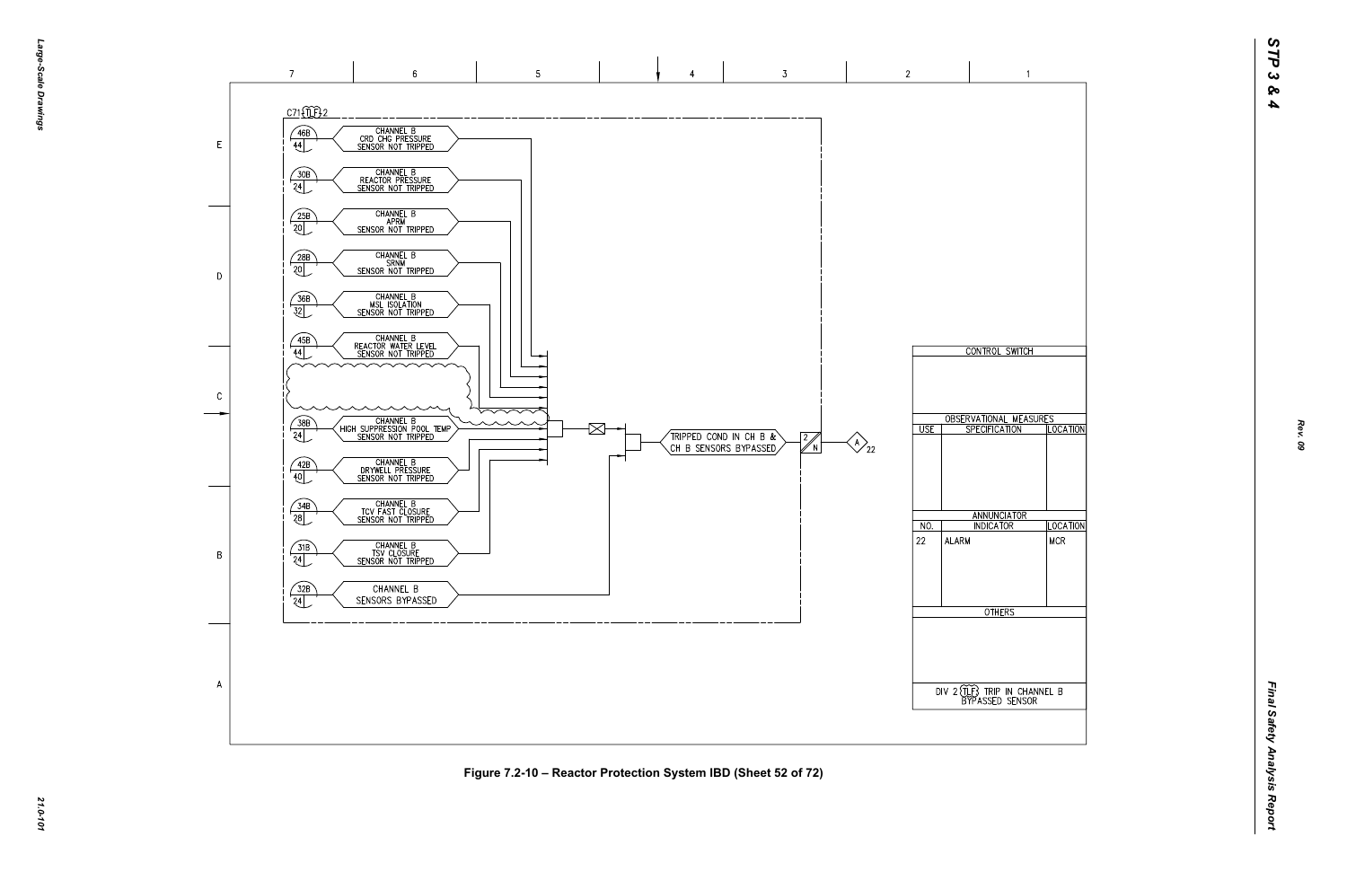

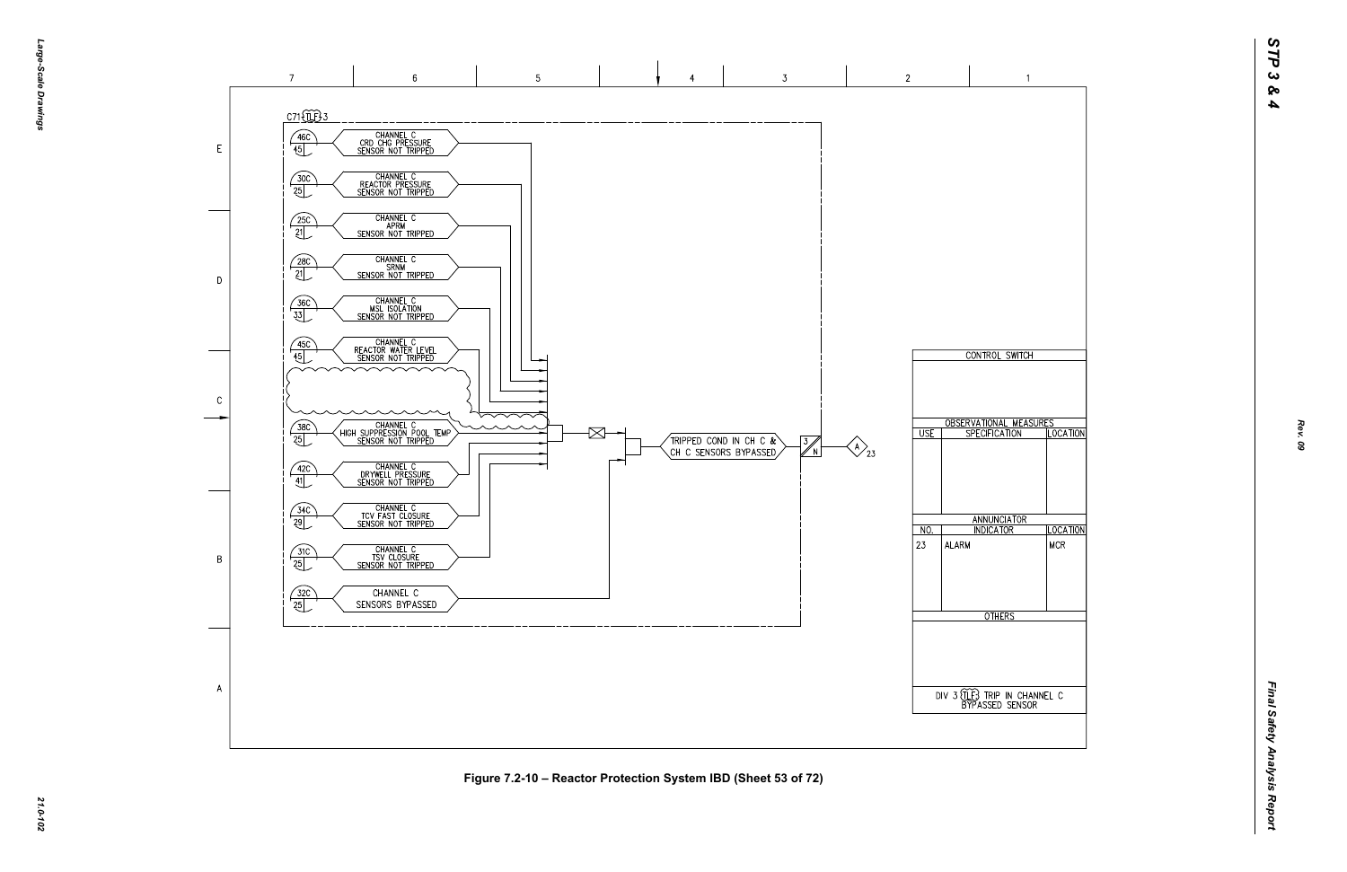

*21.0-102* **Figure 7.2-10 – Reactor Protection System IBD (Sheet 53 of 72)**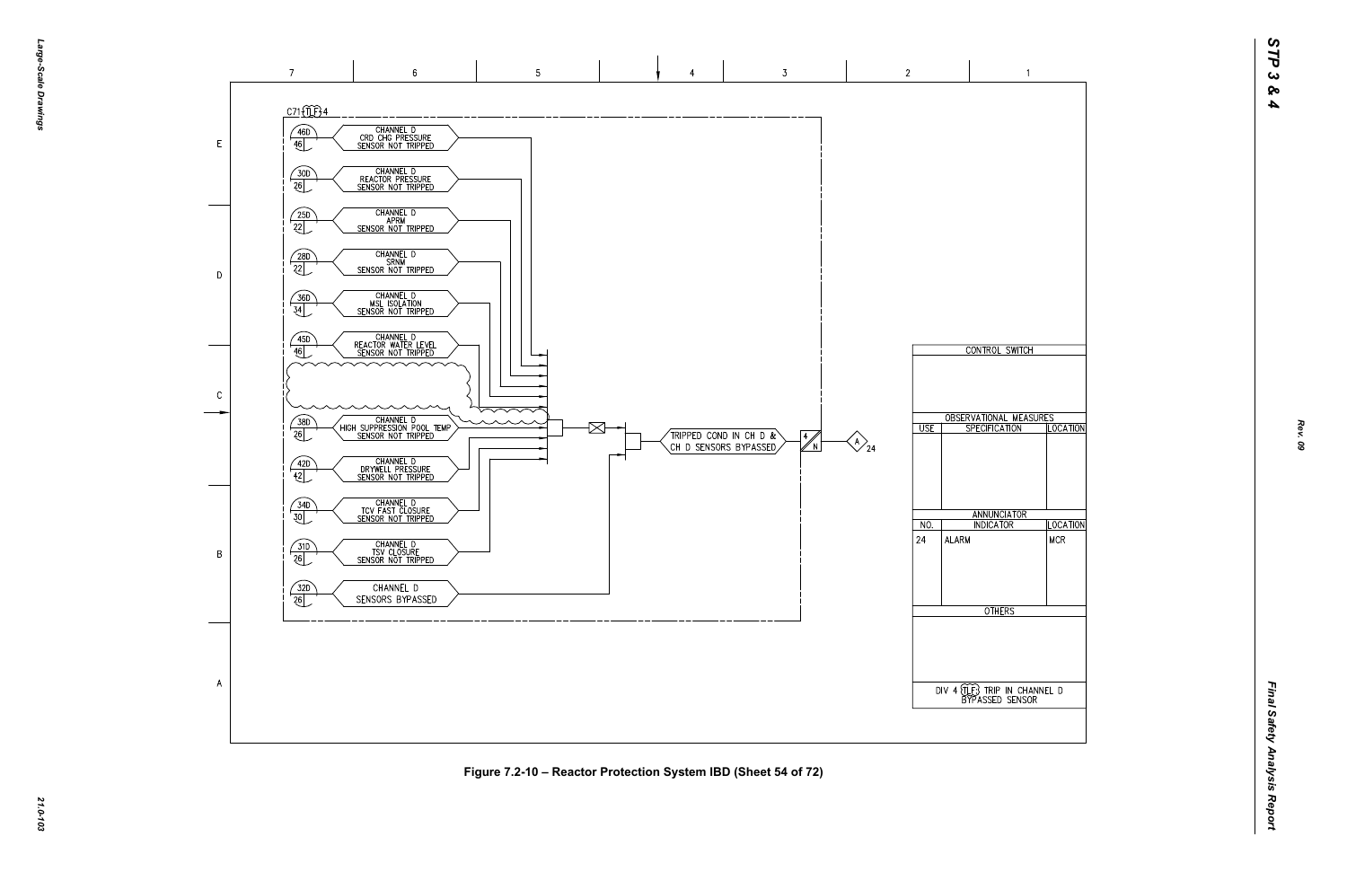

 $\overline{A}$ 

*21.0-103* **Figure 7.2-10 – Reactor Protection System IBD (Sheet 54 of 72)**



 $\overline{2}$ 

 $\overline{\cup}$  USE

 $NO.$ 

ALARM

 $|24\rangle$ 

 $\bigotimes_{24}$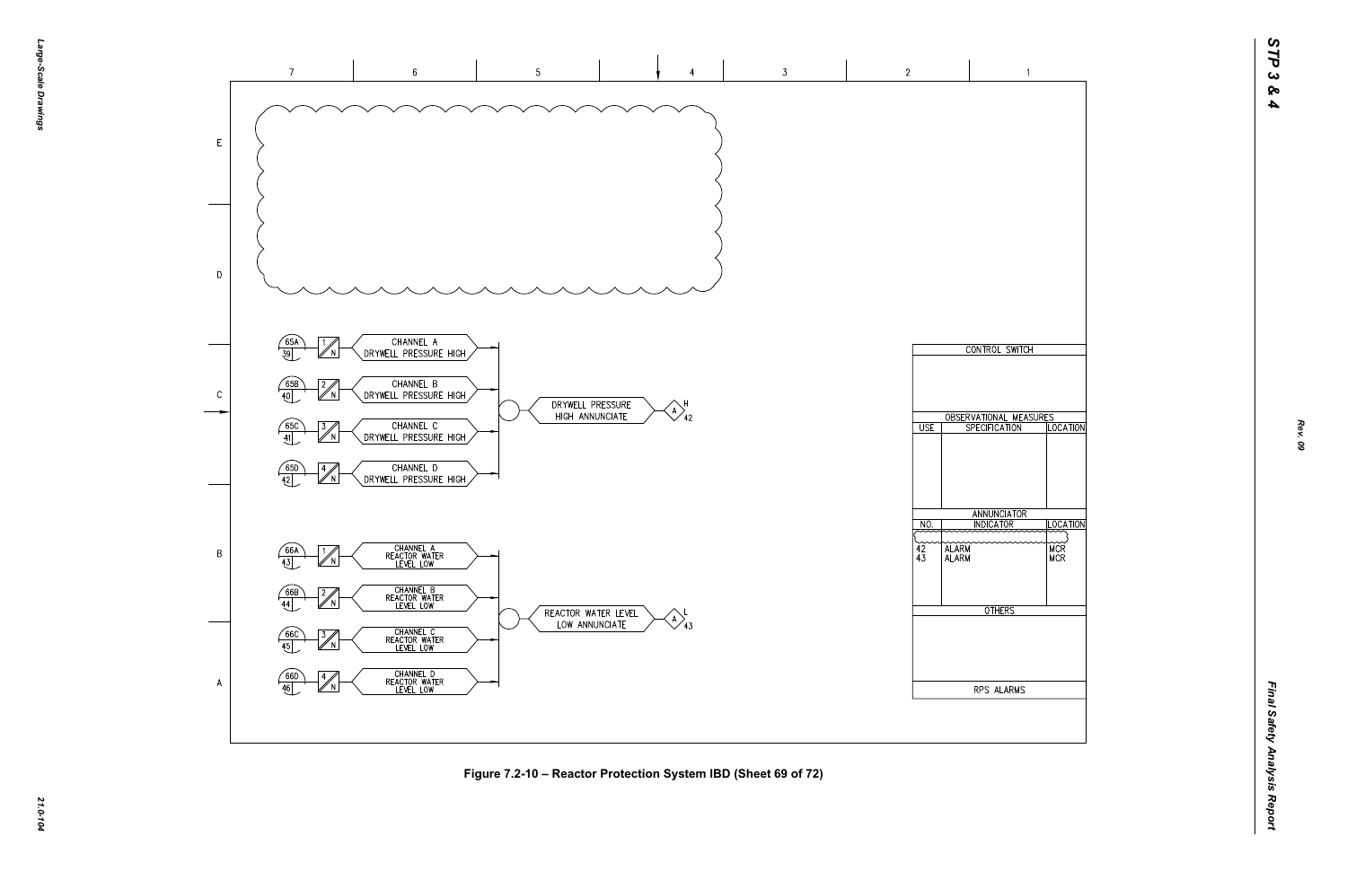

*21.0-104* **Figure 7.2-10 – Reactor Protection System IBD (Sheet 69 of 72)**